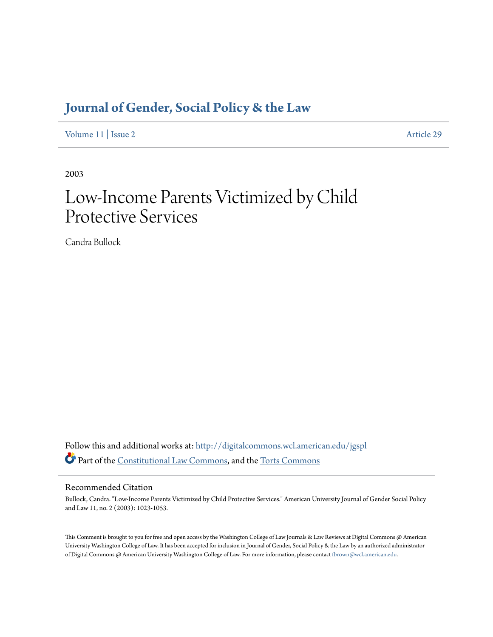# **[Journal of Gender, Social Policy & the Law](http://digitalcommons.wcl.american.edu/jgspl?utm_source=digitalcommons.wcl.american.edu%2Fjgspl%2Fvol11%2Fiss2%2F29&utm_medium=PDF&utm_campaign=PDFCoverPages)**

[Volume 11](http://digitalcommons.wcl.american.edu/jgspl/vol11?utm_source=digitalcommons.wcl.american.edu%2Fjgspl%2Fvol11%2Fiss2%2F29&utm_medium=PDF&utm_campaign=PDFCoverPages) | [Issue 2](http://digitalcommons.wcl.american.edu/jgspl/vol11/iss2?utm_source=digitalcommons.wcl.american.edu%2Fjgspl%2Fvol11%2Fiss2%2F29&utm_medium=PDF&utm_campaign=PDFCoverPages) [Article 29](http://digitalcommons.wcl.american.edu/jgspl/vol11/iss2/29?utm_source=digitalcommons.wcl.american.edu%2Fjgspl%2Fvol11%2Fiss2%2F29&utm_medium=PDF&utm_campaign=PDFCoverPages)

2003

# Low-Income Parents Victimized by Child Protective Services

Candra Bullock

Follow this and additional works at: [http://digitalcommons.wcl.american.edu/jgspl](http://digitalcommons.wcl.american.edu/jgspl?utm_source=digitalcommons.wcl.american.edu%2Fjgspl%2Fvol11%2Fiss2%2F29&utm_medium=PDF&utm_campaign=PDFCoverPages) Part of the [Constitutional Law Commons,](http://network.bepress.com/hgg/discipline/589?utm_source=digitalcommons.wcl.american.edu%2Fjgspl%2Fvol11%2Fiss2%2F29&utm_medium=PDF&utm_campaign=PDFCoverPages) and the [Torts Commons](http://network.bepress.com/hgg/discipline/913?utm_source=digitalcommons.wcl.american.edu%2Fjgspl%2Fvol11%2Fiss2%2F29&utm_medium=PDF&utm_campaign=PDFCoverPages)

# Recommended Citation

Bullock, Candra. "Low-Income Parents Victimized by Child Protective Services." American University Journal of Gender Social Policy and Law 11, no. 2 (2003): 1023-1053.

This Comment is brought to you for free and open access by the Washington College of Law Journals & Law Reviews at Digital Commons @ American University Washington College of Law. It has been accepted for inclusion in Journal of Gender, Social Policy & the Law by an authorized administrator of Digital Commons @ American University Washington College of Law. For more information, please contact [fbrown@wcl.american.edu.](mailto:fbrown@wcl.american.edu)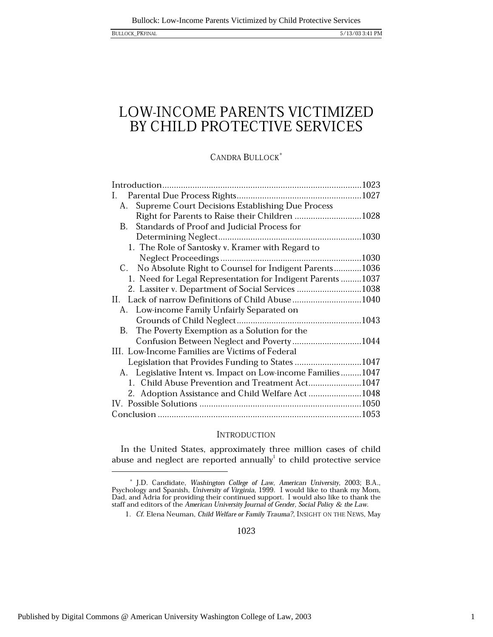# LOW-INCOME PARENTS VICTIMIZED BY CHILD PROTECTIVE SERVICES

**CANDRA BULLOCK\*** 

| L.                                                          |  |
|-------------------------------------------------------------|--|
| Supreme Court Decisions Establishing Due Process<br>А.      |  |
| Right for Parents to Raise their Children 1028              |  |
| Standards of Proof and Judicial Process for<br>B.           |  |
|                                                             |  |
| 1. The Role of Santosky v. Kramer with Regard to            |  |
|                                                             |  |
| C. No Absolute Right to Counsel for Indigent Parents1036    |  |
| 1. Need for Legal Representation for Indigent Parents1037   |  |
| 2. Lassiter v. Department of Social Services 1038           |  |
| Lack of narrow Definitions of Child Abuse1040<br>Н.         |  |
| A. Low-income Family Unfairly Separated on                  |  |
|                                                             |  |
| The Poverty Exemption as a Solution for the<br>В.           |  |
| Confusion Between Neglect and Poverty1044                   |  |
| III. Low-Income Families are Victims of Federal             |  |
| Legislation that Provides Funding to States 1047            |  |
| A. Legislative Intent vs. Impact on Low-income Families1047 |  |
| 1. Child Abuse Prevention and Treatment Act1047             |  |
| 2. Adoption Assistance and Child Welfare Act1048            |  |
|                                                             |  |
|                                                             |  |

## **INTRODUCTION**

In the United States, approximately three million cases of child abuse and neglect are reported annually $^1$  to child protective service

1023

 $^\ast$  J.D. Candidate, *Washington College of Law, American University*, 2003; B.A., Psychology and Spanish, *University of Virginia*, 1999. I would like to thank my Mom, Dad, and Adria for providing their continued support

<sup>1.</sup> Cf. Elena Neuman, Child Welfare or Family Trauma?, INSIGHT ON THE NEWS, May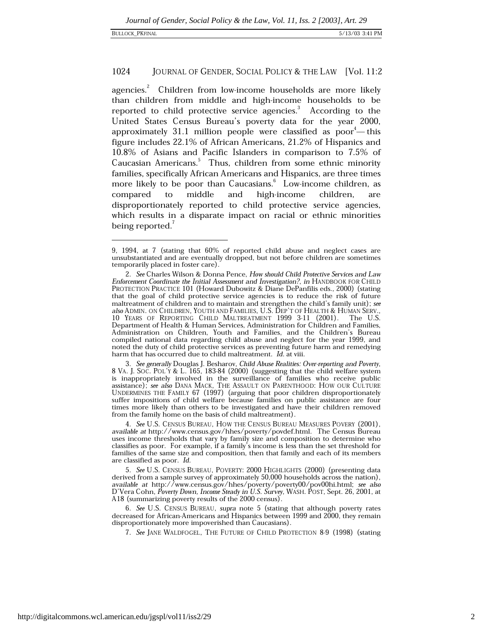### 1024 JOURNAL OF GENDER, SOCIAL POLICY & THE LAW [Vol. 11:2]

agencies.<sup>2</sup> Children from low-income households are more likely than children from middle and high-income households to be reported to child protective service agencies.<sup>3</sup> According to the United States Census Bureau's poverty data for the year 2000, approximately 31.1 million people were classified as poor<sup>4</sup>—this figure includes 22.1% of African Americans, 21.2% of Hispanics and 10.8% of Asians and Pacific Islanders in comparison to 7.5% of Caucasian Americans.<sup>5</sup> Thus, children from some ethnic minority families, specifically African Americans and Hispanics, are three times more likely to be poor than Caucasians.<sup>6</sup> Low-income children, as high-income middle and children, compared to are disproportionately reported to child protective service agencies, which results in a disparate impact on racial or ethnic minorities being reported.

3. See generally Douglas J. Besharov, Child Abuse Realities: Over-reporting and Poverty, 8 VA. J. Soc. Pol'y & L. 165, 183-84 (2000) (suggesting that the child welfare system is inappropriately involved in the surveillance of families who receive public<br>assistance); see also DANA MACK, THE ASSAULT ON PARENTHOOD: HOW OUR CULTURE UNDERMINES THE FAMILY 67 (1997) (arguing that poor children disproportionately suffer impositions of child welfare because families on public assistance are four times more likely than others to be investigated and have their children removed from the family home on the basis of child maltreatment).

4. See U.S. CENSUS BUREAU, HOW THE CENSUS BUREAU MEASURES POVERY (2001), available at http://www.census.gov/hhes/poverty/povdef.html. The Census Bureau uses income thresholds that vary by family size and composition to determine who classifies as poor. For example, if a family's income is less than the set threshold for families of the same size and composition, then that family and each of its members are classified as poor. Id.

5. See U.S. CENSUS BUREAU, POVERTY: 2000 HIGHLIGHTS (2000) (presenting data derived from a sample survey of approximately 50,000 households across the nation), available at http://www.census.gov/hhes/poverty/poverty00/pov00hi.html; see also<br>D'Vera Cohn, Poverty Down, Income Steady in U.S. Survey, WASH. POST, Sept. 26, 2001, at A18 (summarizing poverty results of the 2000 census).

6. See U.S. CENSUS BUREAU, supra note 5 (stating that although poverty rates decreased for African-Americans and Hispanics between 1999 and 2000, they remain disproportionately more impoverished than Caucasians).

7. See JANE WALDFOGEL, THE FUTURE OF CHILD PROTECTION 8-9 (1998) (stating

<sup>9, 1994,</sup> at 7 (stating that 60% of reported child abuse and neglect cases are unsubstantiated and are eventually dropped, but not before children are sometimes temporarily placed in foster care).

<sup>2.</sup> See Charles Wilson & Donna Pence, How should Child Protective Services and Law Enforcement Coordinate the Initial Assessment and Investigation?, in HANDBOOK FOR CHILD PROTECTION PRACTICE 101 (Howard Dubowitz & Diane DePanfilis eds., 2000) (stating that the goal of child protective service agencies is to reduce the risk of future maltreatment of children and to maintain and strengthen the child's family unit); see also ADMIN. ON CHILDREN, YOUTH AND FAMILIES, U.S. DEP'T OF HEALTH & HUMAN SERV., 10 YEARS OF REPORTING CHILD MALTREATMENT 1999 3-11 (2001). The U.S. Department of Health & Human Services, Administration for Children and Families, Administration on Children, Youth and Families, and the Children's Bureau compiled national data regarding child abuse and neglect for the year 1999, and noted the duty of child protective services as preventing future harm and remedying harm that has occurred due to child maltreatment. Id. at viii.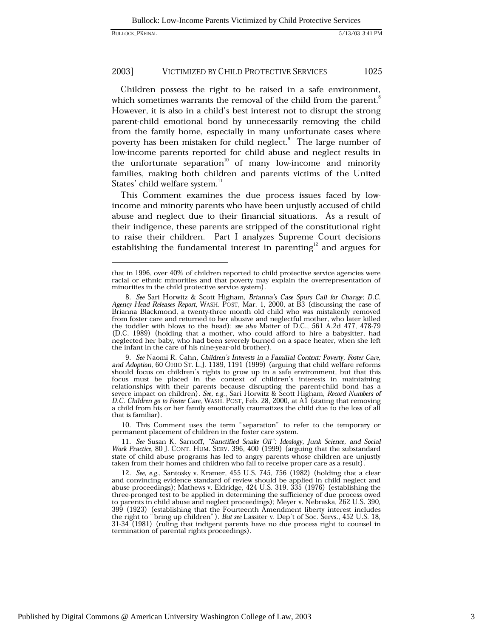Children possess the right to be raised in a safe environment, which sometimes warrants the removal of the child from the parent. However, it is also in a child's best interest not to disrupt the strong parent-child emotional bond by unnecessarily removing the child from the family home, especially in many unfortunate cases where poverty has been mistaken for child neglect.<sup>9</sup> The large number of low-income parents reported for child abuse and neglect results in the unfortunate separation<sup>10</sup> of many low-income and minority families, making both children and parents victims of the United States' child welfare system.<sup>11</sup>

This Comment examines the due process issues faced by lowincome and minority parents who have been unjustly accused of child abuse and neglect due to their financial situations. As a result of their indigence, these parents are stripped of the constitutional right to raise their children. Part I analyzes Supreme Court decisions establishing the fundamental interest in parenting<sup>12</sup> and argues for

10. This Comment uses the term "separation" to refer to the temporary or permanent placement of children in the foster care system.

that in 1996, over 40% of children reported to child protective service agencies were racial or ethnic minorities and that poverty may explain the overrepresentation of minorities in the child protective service system).

<sup>8.</sup> See Sari Horwitz & Scott Higham, Brianna's Case Spurs Call for Change; D.C. Agency Head Releases Report, WASH. POST, Mar. 1, 2000, at B3 (discussing the case of Brianna Blackmond, a twenty-three month old child who was mistakenly removed from foster care and returned to her abusive and neglectful mother, who later killed the toddler with blows to the head); see also Matter of D.C., 561 A.2d 477, 478-79 (D.C. 1989) (holding that a mother, who could afford to hire a babysitter, had neglected her baby, who had been severely burned on a space heater, when she left the infant in the care of his nine-year-old brother).

<sup>9.</sup> See Naomi R. Cahn, Children's Interests in a Familial Context: Poverty, Foster Care, and Adoption, 60 OHIO ST. L.J. 1189, 1191 (1999) (arguing that child welfare reforms should focus on children's rights to grow up in a safe environment, but that this focus must be placed in the context of children's interests in maintaining relationships with their parents because disrupting the parent-child bond has a<br>severe impact on children). See, e.g., Sari Horwitz & Scott Higham, Record Numbers of<br>D.C. Children go to Foster Care, WASH. POST, Feb. 28, 20 a child from his or her family emotionally traumatizes the child due to the loss of all that is familiar).

<sup>11.</sup> See Susan K. Sarnoff, "Sanctified Snake Oil": Ideology, Junk Science, and Social Work Practice, 80 J. CONT. HUM. SERV. 396, 400 (1999) (arguing that the substandard state of child abuse programs has led to angry parents whose children are unjustly taken from their homes and children who fail to receive proper care as a result).

<sup>12.</sup> See, e.g., Santosky v. Kramer, 455 U.S. 745, 756 (1982) (holding that a clear and convincing evidence standard of review should be applied in child neglect and abuse proceedings); Mathews v. Eldridge, 424 U.S. 319, 335 (1976) (establishing the three-pronged test to be applied in determining the sufficiency of due process owed to parents in child abuse and neglect proceedings); Meyer v. Nebraska, 262 U.S. 390, 399 (1923) (establishing that the Fourteenth Amendment liberty interest includes the right to "bring up children"). But see Lassiter v. Dep't of Soc. Servs., 452 U.S. 18, 31-34 (1981) (ruling that indigent parents have no due process right to counsel in termination of parental rights proceedings).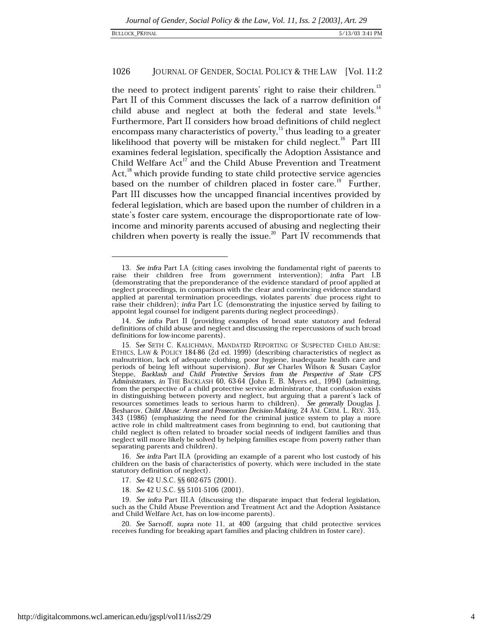#### 1026 JOURNAL OF GENDER, SOCIAL POLICY & THE LAW [Vol. 11:2]

the need to protect indigent parents' right to raise their children.<sup>13</sup> Part II of this Comment discusses the lack of a narrow definition of child abuse and neglect at both the federal and state levels.<sup>14</sup> Furthermore, Part II considers how broad definitions of child neglect encompass many characteristics of poverty,<sup>15</sup> thus leading to a greater likelihood that poverty will be mistaken for child neglect.<sup>16</sup> Part III examines federal legislation, specifically the Adoption Assistance and Child Welfare Act<sup>17</sup> and the Child Abuse Prevention and Treatment Act.<sup>18</sup> which provide funding to state child protective service agencies based on the number of children placed in foster care.<sup>19</sup> Further, Part III discusses how the uncapped financial incentives provided by federal legislation, which are based upon the number of children in a state's foster care system, encourage the disproportionate rate of lowincome and minority parents accused of abusing and neglecting their children when poverty is really the issue.<sup>20</sup> Part IV recommends that

16. See infra Part II.A (providing an example of a parent who lost custody of his children on the basis of characteristics of poverty, which were included in the state statutory definition of neglect).

17. See 42 U.S.C. §§ 602-675 (2001).

18. See 42 U.S.C. §§ 5101-5106 (2001).

19. See infra Part III.A (discussing the disparate impact that federal legislation, such as the Child Abuse Prevention and Treatment Act and the Adoption Assistance and Child Welfare Act, has on low-income parents).

20. See Sarnoff, supra note 11, at 400 (arguing that child protective services receives funding for breaking apart families and placing children in foster care).

<sup>13.</sup> See infra Part I.A (citing cases involving the fundamental right of parents to raise their children free from government intervention); infra Part I.B (demonstrating that the preponderance of the evidence standard of proof applied at neglect proceedings, in comparison with the clear and convincing evidence standard applied at parental termination proceedings, violates parents' due process right to raise their children); infra Part I.C (demonstrating the injustice served by failing to appoint legal counsel for indigent parents during neglect proceedings).

<sup>14.</sup> See infra Part II (providing examples of broad state statutory and federal definitions of child abuse and neglect and discussing the repercussions of such broad definitions for low-income parents).

<sup>15.</sup> See SETH C. KALICHMAN, MANDATED REPORTING OF SUSPECTED CHILD ABUSE: ETHICS, LAW & POLICY 184-86 (2d ed. 1999) (describing characteristics of neglect as malnutrition, lack of adequate clothing, poor hygiene, inadequate health care and neriods of being left without supervision). But see Charles Wilson & Susan Caylor<br>Steppe, *Backlash and Child Protective Services from the Perspective of State CPS*<br>Administrators, in THE BACKLASH 60, 63-64 (John E. B. Mye from the perspective of a child protective service administrator, that confusion exists ion distinguishing between poverty and neglect, but arguing that a parent's lack of<br>resources sometimes leads to serious harm to children). See generally Douglas J.<br>Besharov, Child Abuse: Arrest and Prosecution Decision-Ma 343 (1986) (emphasizing the need for the criminal justice system to play a more active role in child maltreatment cases from beginning to end, but cautioning that child neglect is often related to broader social needs of indigent families and thus neglect will more likely be solved by helping families escape from poverty rather than separating parents and children).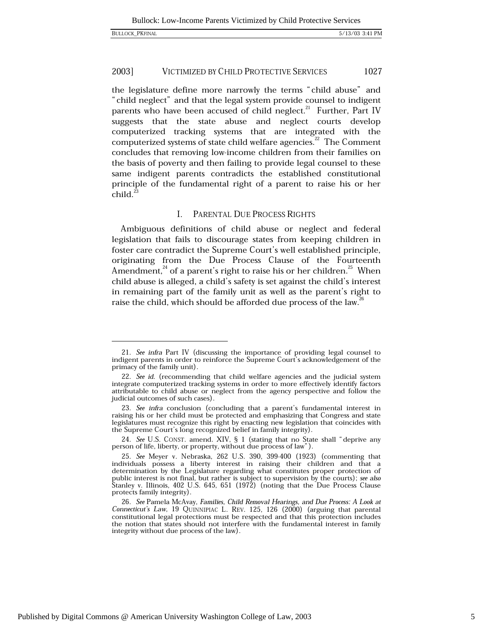the legislature define more narrowly the terms "child abuse" and "child neglect" and that the legal system provide counsel to indigent parents who have been accused of child neglect.<sup>21</sup> Further, Part IV suggests that the state abuse and neglect courts develop computerized tracking systems that are integrated with the computerized systems of state child welfare agencies.<sup>22</sup> The Comment concludes that removing low-income children from their families on the basis of poverty and then failing to provide legal counsel to these same indigent parents contradicts the established constitutional principle of the fundamental right of a parent to raise his or her  $child.<sup>23</sup>$ 

#### $\mathbf{L}$ PARENTAL DUE PROCESS RIGHTS

Ambiguous definitions of child abuse or neglect and federal legislation that fails to discourage states from keeping children in foster care contradict the Supreme Court's well established principle, originating from the Due Process Clause of the Fourteenth Amendment,  $^{24}$  of a parent's right to raise his or her children.  $^{25}$  When child abuse is alleged, a child's safety is set against the child's interest in remaining part of the family unit as well as the parent's right to raise the child, which should be afforded due process of the law.<sup>26</sup>

24. See U.S. CONST. amend. XIV, § 1 (stating that no State shall "deprive any person of life, liberty, or property, without due process of law").

<sup>21.</sup> See infra Part IV (discussing the importance of providing legal counsel to indigent parents in order to reinforce the Supreme Court's acknowledgement of the primacy of the family unit).

<sup>22.</sup> See id. (recommending that child welfare agencies and the judicial system integrate computerized tracking systems in order to more effectively identify factors attributable to child abuse or neglect from the agency perspective and follow the judicial outcomes of such cases).

<sup>23.</sup> See infra conclusion (concluding that a parent's fundamental interest in raising his or her child must be protected and emphasizing that Congress and state legislatures must recognize this right by enacting new legislation that coincides with the Supreme Court's long recognized belief in family integrity).

<sup>25.</sup> See Meyer v. Nebraska, 262 U.S. 390, 399-400 (1923) (commenting that individuals possess a liberty interest in raising their children and that a determination by the Legislature regarding what constitutes proper protection of public interest is not final, but rather is subject to supervision by the courts); see also Stanley v. Illinois, 402 U.S. 645, 651 (1972) (noting that the Due Process Clause protects family integrity).

<sup>26.</sup> See Pamela McAvay, Families, Child Removal Hearings, and Due Process: A Look at Connecticut's Law, 19 QUINNIPIAC L. REV. 125, 126 (2000) (arguing that parental constitutional legal protections must be respected and that this protection includes the notion that states should not interfere with the fundamental interest in family integrity without due process of the law).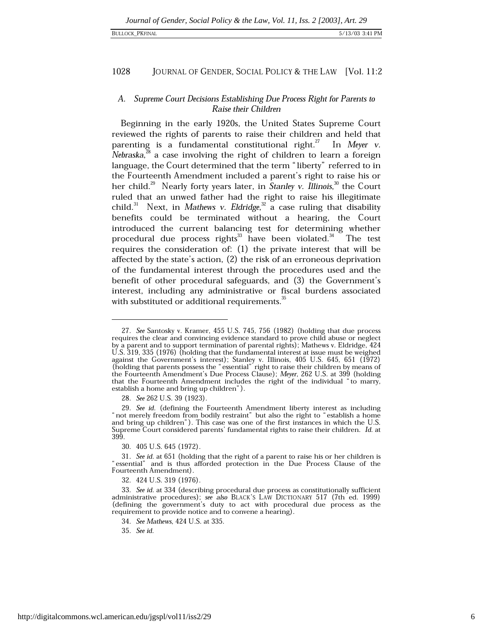### 1028 JOURNAL OF GENDER, SOCIAL POLICY & THE LAW [Vol. 11:2

# A. Supreme Court Decisions Establishing Due Process Right for Parents to Raise their Children

Beginning in the early 1920s, the United States Supreme Court reviewed the rights of parents to raise their children and held that parenting is a fundamental constitutional right. $^{27}$  In Meyer v. Nebraska, $^{28}$  a case involving the right of children to learn a foreign language, the Court determined that the term "liberty" referred to in the Fourteenth Amendment included a parent's right to raise his or her child.<sup>29</sup> Nearly forty years later, in *Stanley v. Illinois*,<sup>30</sup> the Court ruled that an unwed father had the right to raise his illegitimate child.<sup>31</sup> Next, in Mathews v. Eldridge,<sup>32</sup> a case ruling that disability benefits could be terminated without a hearing, the Court introduced the current balancing test for determining whether procedural due process rights<sup>33</sup> have been violated.<sup>34</sup> The test requires the consideration of:  $(1)$  the private interest that will be affected by the state's action, (2) the risk of an erroneous deprivation of the fundamental interest through the procedures used and the benefit of other procedural safeguards, and (3) the Government's interest, including any administrative or fiscal burdens associated with substituted or additional requirements.<sup>35</sup>

28. See 262 U.S. 39 (1923).

30. 405 U.S. 645 (1972).

35. See id.

<sup>27.</sup> See Santosky v. Kramer, 455 U.S. 745, 756 (1982) (holding that due process requires the clear and convincing evidence standard to prove child abuse or neglect by a parent and to support termination of parental rights); Mathews v. Eldridge, 424<br>U.S. 319, 335 (1976) (holding that the fundamental interest at issue must be weighed against the Government's interest); Stanley v. Illinois, 405 U.S. 645, 651 (1972) (holding that parents possess the "essential" right to raise their children by means of the Fourteenth Amendment's Due Process Clause); Meyer, 262 U.S. at 399 (holding that the Fourteenth Amendment includes the right of the individual "to marry, establish a home and bring up children").

<sup>29.</sup> See id. (defining the Fourteenth Amendment liberty interest as including "not merely freedom from bodily restraint" but also the right to "establish a home and bring up children"). This case was one of the first instances in which the U.S. Supreme Court considered parents' fundamental rights to raise their children. Id. at 399.

<sup>31.</sup> See id. at 651 (holding that the right of a parent to raise his or her children is "essential" and is thus afforded protection in the Due Process Clause of the Fourteenth Amendment).

<sup>32. 424</sup> U.S. 319 (1976).

<sup>33.</sup> See id. at 334 (describing procedural due process as constitutionally sufficient administrative procedures); see also BLACK'S LAW DICTIONARY 517 (7th ed. 1999) (defining the government's duty to act with procedural due process as the requirement to provide notice and to convene a hearing).

<sup>34.</sup> See Mathews, 424 U.S. at 335.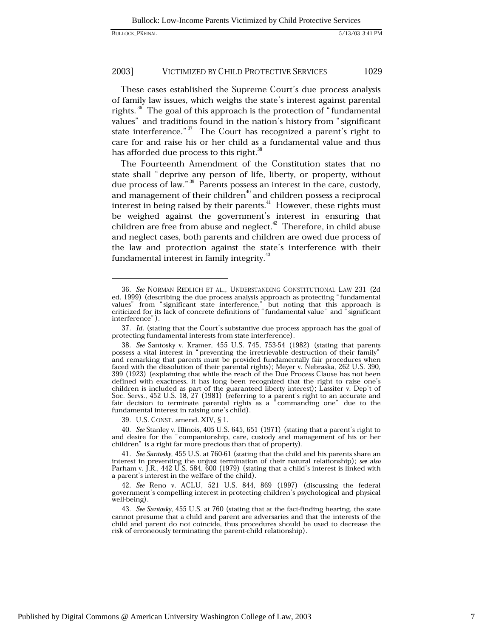These cases established the Supreme Court's due process analysis of family law issues, which weighs the state's interest against parental rights.<sup>36</sup> The goal of this approach is the protection of "fundamental" values" and traditions found in the nation's history from "significant state interference." $37$  The Court has recognized a parent's right to care for and raise his or her child as a fundamental value and thus has afforded due process to this right.<sup>38</sup>

The Fourteenth Amendment of the Constitution states that no state shall "deprive any person of life, liberty, or property, without due process of law."<sup>39</sup> Parents possess an interest in the care, custody, and management of their children<sup>40</sup> and children possess a reciprocal interest in being raised by their parents.<sup>41</sup> However, these rights must be weighed against the government's interest in ensuring that children are free from abuse and neglect.<sup>42</sup> Therefore, in child abuse and neglect cases, both parents and children are owed due process of the law and protection against the state's interference with their fundamental interest in family integrity.<sup>43</sup>

39. U.S. CONST. amend. XIV, § 1.

40. See Stanley v. Illinois, 405 U.S. 645, 651 (1971) (stating that a parent's right to and desire for the "companionship, care, custody and management of his or her children" is a right far more precious than that of property).

42. See Reno v. ACLU, 521 U.S. 844, 869 (1997) (discussing the federal government's compelling interest in protecting children's psychological and physical well-being).

43. See Santosky, 455 U.S. at 760 (stating that at the fact-finding hearing, the state cannot presume that a child and parent are adversaries and that the interests of the child and parent do not coincide, thus procedures should be used to decrease the risk of erroneously terminating the parent-child relationship).

<sup>36.</sup> See NORMAN REDLICH ET AL., UNDERSTANDING CONSTITUTIONAL LAW 231 (2d ed. 1999) (describing the due process analysis approach as protecting "fundamental<br>values" from "significant state interference," but noting that this approach is<br>criticized for its lack of concrete definitions of "fundame interference").

<sup>37.</sup> Id. (stating that the Court's substantive due process approach has the goal of protecting fundamental interests from state interference).

<sup>38.</sup> See Santosky v. Kramer, 455 U.S. 745, 753-54 (1982) (stating that parents possess a vital interest in "preventing the irretrievable destruction of their family" and remarking that parents must be provided fundamentally fair procedures when faced with the dissolution of their parental rights); Meyer v. Nebraska, 262 U.S. 390, 399 (1923) (explaining that while the reach of the Due Process Clause has not been defined with exactness, it has long been recognized that the right to raise one's children is included as part of the guaranteed liberty interest); Lassiter v. Dep't of Soc. Servs., 452 U.S. 18, 27 (1981) (referring to a parent's right to an accurate and fair decision to terminate parental rights as a " fundamental interest in raising one's child).

<sup>41.</sup> See Santosky, 455 U.S. at 760-61 (stating that the child and his parents share an interest in preventing the unjust termination of their natural relationship); see also Parham v. J.R., 442 U.S. 584, 600 (1979) (stating that a child's interest is linked with a parent's interest in the welfare of the child).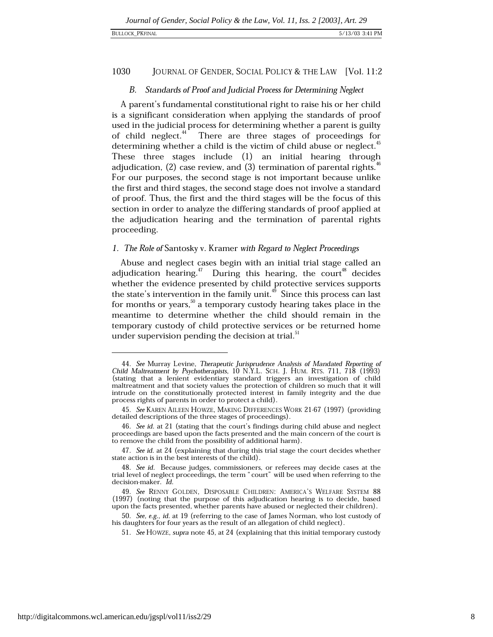### 1030 JOURNAL OF GENDER, SOCIAL POLICY & THE LAW [Vol. 11:2

# B. Standards of Proof and Judicial Process for Determining Neglect

A parent's fundamental constitutional right to raise his or her child is a significant consideration when applying the standards of proof used in the judicial process for determining whether a parent is guilty of child neglect.<sup>44</sup> There are three stages of proceedings for determining whether a child is the victim of child abuse or neglect.<sup>45</sup> These three stages include (1) an initial hearing through adjudication,  $(2)$  case review, and  $(3)$  termination of parental rights.<sup>4</sup> For our purposes, the second stage is not important because unlike the first and third stages, the second stage does not involve a standard of proof. Thus, the first and the third stages will be the focus of this section in order to analyze the differing standards of proof applied at the adjudication hearing and the termination of parental rights proceeding.

# 1. The Role of Santosky v. Kramer with Regard to Neglect Proceedings

Abuse and neglect cases begin with an initial trial stage called an adjudication hearing.  $^{4}$  During this hearing, the court<sup>48</sup> decides whether the evidence presented by child protective services supports the state's intervention in the family unit.<sup>49</sup> Since this process can last for months or years,<sup>50</sup> a temporary custody hearing takes place in the meantime to determine whether the child should remain in the temporary custody of child protective services or be returned home under supervision pending the decision at trial.<sup>51</sup>

<sup>44.</sup> See Murray Levine, Therapeutic Jurisprudence Analysis of Mandated Reporting of Child Maltreatment by Psychotherapists, 10 N.Y.L. SCH. J. HUM. RTS. 711, 718 (1993) (stating that a lenient evidentiary standard triggers an investigation of child maltreatment and that society values the protection of children so much that it will intrude on the constitutionally protected interest in family integrity and the due process rights of parents in order to protect a child).

<sup>45.</sup> See KAREN AILEEN HOWZE, MAKING DIFFERENCES WORK 21-67 (1997) (providing detailed descriptions of the three stages of proceedings).

<sup>46.</sup> See id. at 21 (stating that the court's findings during child abuse and neglect proceedings are based upon the facts presented and the main concern of the court is to remove the child from the possibility of additional harm).

<sup>47.</sup> See id. at 24 (explaining that during this trial stage the court decides whether state action is in the best interests of the child).

<sup>48.</sup> See id. Because judges, commissioners, or referees may decide cases at the trial level of neglect proceedings, the term "court" will be used when referring to the decision-maker. Id.

<sup>49.</sup> See RENNY GOLDEN, DISPOSABLE CHILDREN: AMERICA'S WELFARE SYSTEM 88 (1997) (noting that the purpose of this adjudication hearing is to decide, based upon the facts presented, whether parents have abused or neglected their children).

<sup>50.</sup> See, e.g., id. at 19 (referring to the case of James Norman, who lost custody of his daughters for four years as the result of an allegation of child neglect).

<sup>51.</sup> See HOWZE, supra note 45, at 24 (explaining that this initial temporary custody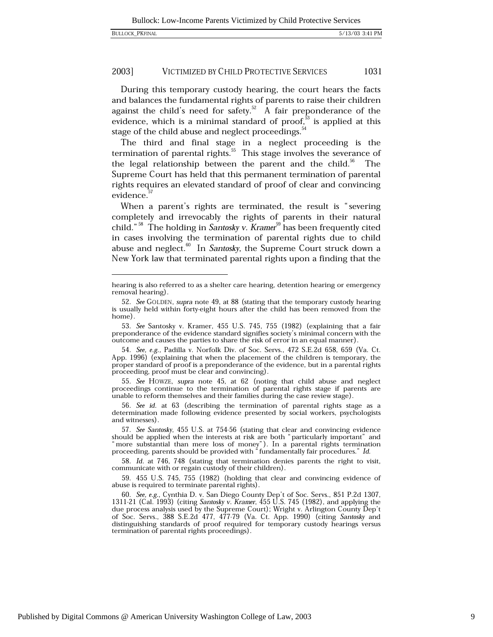During this temporary custody hearing, the court hears the facts and balances the fundamental rights of parents to raise their children against the child's need for safety.<sup>52</sup> A fair preponderance of the evidence, which is a minimal standard of proof, $3$  is applied at this stage of the child abuse and neglect proceedings.<sup>34</sup>

The third and final stage in a neglect proceeding is the termination of parental rights. $55$  This stage involves the severance of the legal relationship between the parent and the child.<sup>56</sup> The Supreme Court has held that this permanent termination of parental rights requires an elevated standard of proof of clear and convincing evidence.

When a parent's rights are terminated, the result is "severing completely and irrevocably the rights of parents in their natural child."<sup>58</sup> The holding in Santosky v. Kramer<sup>59</sup> has been frequently cited in cases involving the termination of parental rights due to child abuse and neglect.<sup>60</sup> In Santosky, the Supreme Court struck down a New York law that terminated parental rights upon a finding that the

hearing is also referred to as a shelter care hearing, detention hearing or emergency removal hearing).

<sup>52.</sup> See GOLDEN, supra note 49, at 88 (stating that the temporary custody hearing is usually held within forty-eight hours after the child has been removed from the home).

<sup>53.</sup> See Santosky v. Kramer, 455 U.S. 745, 755 (1982) (explaining that a fair preponderance of the evidence standard signifies society's minimal concern with the outcome and causes the parties to share the risk of error in an equal manner).

<sup>54.</sup> See, e.g., Padilla v. Norfolk Div. of Soc. Servs., 472 S.E.2d 658, 659 (Va. Ct. App. 1996) (explaining that when the placement of the children is temporary, the proper standard of proof is a preponderance of the evidence, but in a parental rights proceeding, proof must be clear and convincing).

<sup>55.</sup> See HOWZE, supra note 45, at 62 (noting that child abuse and neglect proceedings continue to the termination of parental rights stage if parents are unable to reform themselves and their families during the case review stage).

<sup>56.</sup> See id. at 63 (describing the termination of parental rights stage as a determination made following evidence presented by social workers, psychologists and witnesses).

<sup>57.</sup> See Santosky, 455 U.S. at 754-56 (stating that clear and convincing evidence should be applied when the interests at risk are both "particularly important" and "more substantial than mere loss of money"). In a parental rights termination proceeding, parents should be provided with "fundamentally fair procedures." Id.

<sup>58.</sup> Id. at 746, 748 (stating that termination denies parents the right to visit, communicate with or regain custody of their children).

<sup>59. 455</sup> U.S. 745, 755 (1982) (holding that clear and convincing evidence of abuse is required to terminate parental rights).

<sup>60.</sup> See, e.g., Cynthia D. v. San Diego County Dep't of Soc. Servs., 851 P.2d 1307, 1311-21 (Cal. 1993) (citing Santosky v. Kramer, 455 U.S. 745 (1982), and applying the due process analysis used by the Supreme Court); Wright v. Arlington County Dep't<br>of Soc. Servs., 388 S.E.2d 477, 477-79 (Va. Ct. App. 1990) (citing *Santosky* and distinguishing standards of proof required for temporary custody hearings versus termination of parental rights proceedings).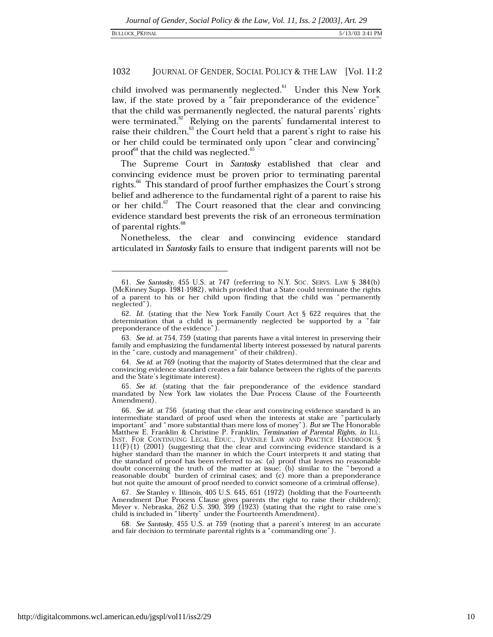#### 1032 JOURNAL OF GENDER, SOCIAL POLICY & THE LAW [Vol. 11:2]

child involved was permanently neglected.<sup>61</sup> Under this New York law, if the state proved by a "fair preponderance of the evidence" that the child was permanently neglected, the natural parents' rights were terminated. $62$  Relying on the parents' fundamental interest to raise their children,<sup>63</sup> the Court held that a parent's right to raise his or her child could be terminated only upon "clear and convincing" proof<sup>64</sup> that the child was neglected.<sup>65</sup>

The Supreme Court in Santosky established that clear and convincing evidence must be proven prior to terminating parental rights.<sup>66</sup> This standard of proof further emphasizes the Court's strong belief and adherence to the fundamental right of a parent to raise his or her child.<sup>67</sup> The Court reasoned that the clear and convincing evidence standard best prevents the risk of an erroneous termination of parental rights.<sup>68</sup>

Nonetheless, the clear and convincing evidence standard articulated in Santosky fails to ensure that indigent parents will not be

64. See id. at 769 (noting that the majority of States determined that the clear and convincing evidence standard creates a fair balance between the rights of the parents and the State's legitimate interest).

67. See Stanley v. Illinois, 405 U.S. 645, 651 (1972) (holding that the Fourteenth Amendment Due Process Clause gives parents the right to raise their children); Meyer v. Nebraska, 262 U.S. 390, 399 (1923) (stating that the right to raise one's child is included in "liberty" under the Fourteenth Amendment).

68. See Santosky, 455 U.S. at 759 (noting that a parent's interest in an accurate and fair decision to terminate parental rights is a "commanding one").

<sup>61.</sup> See Santosky, 455 U.S. at 747 (referring to N.Y. Soc. SERVS. LAW § 384(b) (McKinney Supp. 1981-1982), which provided that a State could terminate the rights of a parent to his or her child upon finding that the child was "permanently neglected").

<sup>62.</sup> Id. (stating that the New York Family Court Act § 622 requires that the determination that a child is permanently neglected be supported by a "fair preponderance of the evidence").

<sup>63.</sup> See id. at 754, 759 (stating that parents have a vital interest in preserving their family and emphasizing the fundamental liberty interest possessed by natural parents in the "care, custody and management" of their children).

<sup>65.</sup> See id. (stating that the fair preponderance of the evidence standard mandated by New York law violates the Due Process Clause of the Fourteenth Amendment).

<sup>66.</sup> See id. at 756 (stating that the clear and convincing evidence standard is an intermediate standard of proof used when the interests at stake are "particularly important" and " more substantial than mere loss of money"). But see The Honorable Matthew E. Franklin & Christine P. Franklin, *Termination of Parental Rights*, *in* ILL. INST. FOR CONTINUING LEGAL EDUC., JUVENILE LAW AND PRACTICE HANDBOOK §  $11(F)(1)$  (2001) (suggesting that the clear and convincing evidence standard is a higher standard than the manner in which the Court interprets it and stating that the standard of proof has been referred to as: (a) proof that leaves no reasonable doubt concerning the truth of the matter at issue; (b) similar to the "beyond a reasonable doubt" burden of criminal cases; and (c) more than a preponderance but not quite the amount of proof needed to convict someone of a criminal offense).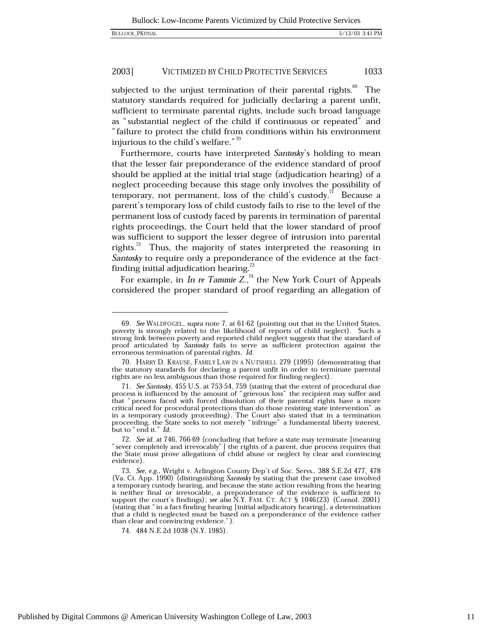subjected to the unjust termination of their parental rights.<sup>69</sup> The statutory standards required for judicially declaring a parent unfit, sufficient to terminate parental rights, include such broad language as "substantial neglect of the child if continuous or repeated" and "failure to protect the child from conditions within his environment injurious to the child's welfare."<sup>70</sup>

Furthermore, courts have interpreted Santosky's holding to mean that the lesser fair preponderance of the evidence standard of proof should be applied at the initial trial stage (adjudication hearing) of a neglect proceeding because this stage only involves the possibility of temporary, not permanent, loss of the child's custody.<sup>71</sup> Because a parent's temporary loss of child custody fails to rise to the level of the permanent loss of custody faced by parents in termination of parental rights proceedings, the Court held that the lower standard of proof was sufficient to support the lesser degree of intrusion into parental rights.<sup>72</sup> Thus, the majority of states interpreted the reasoning in Santosky to require only a preponderance of the evidence at the factfinding initial adjudication hearing.<sup>73</sup>

For example, in In re Tammie  $Z$ .,<sup>74</sup> the New York Court of Appeals considered the proper standard of proof regarding an allegation of

<sup>69.</sup> See WALDFOGEL, supra note 7, at 61-62 (pointing out that in the United States, poverty is strongly related to the likelihood of reports of child neglect). Such a strong link between poverty and reported child neglect suggests that the standard of proof articulated by Santosky fails to serve as sufficient protection against the erroneous termination of parental rights. Id.

<sup>70.</sup> HARRY D. KRAUSE, FAMILY LAW IN A NUTSHELL 279 (1995) (demonstrating that the statutory standards for declaring a parent unfit in order to terminate parental rights are no less ambiguous than those required for finding neglect).

<sup>71.</sup> See Santosky, 455 U.S. at 753-54, 759 (stating that the extent of procedural due process is influenced by the amount of "grievous loss" the recipient may suffer and that "persons faced with forced dissolution of their parental rights have a more critical need for procedural protections than do those resisting state intervention" as in a temporary custody proceeding). The Court also stated that in a termination proceeding, the State seeks to not merely "infringe" a fundamental liberty interest, but to "end it." Id.

<sup>72.</sup> See id. at 746, 766-69 (concluding that before a state may terminate [meaning] "sever completely and irrevocably"] the rights of a parent, due process requires that the State must prove allegations of child abuse or neglect by clear and convincing evidence).

<sup>73.</sup> See, e.g., Wright v. Arlington County Dep't of Soc. Servs., 388 S.E.2d 477, 478 (Va. Ct. App. 1990) (distinguishing Santosky by stating that the present case involved a temporary custody hearing, and because the state action resulting from the hearing is neither final or irrevocable, a preponderance of the evidence is sufficient to support the court's findings); see also N.Y. FAM. CT. ACT § 1046(23) (Consol. 2001) (stating that "in a fact-finding hearing [initial adjudicatory hearing], a determination that a child is neglected must be based on a preponderance of the evidence rather than clear and convincing evidence.").

<sup>74. 484</sup> N.E.2d 1038 (N.Y. 1985).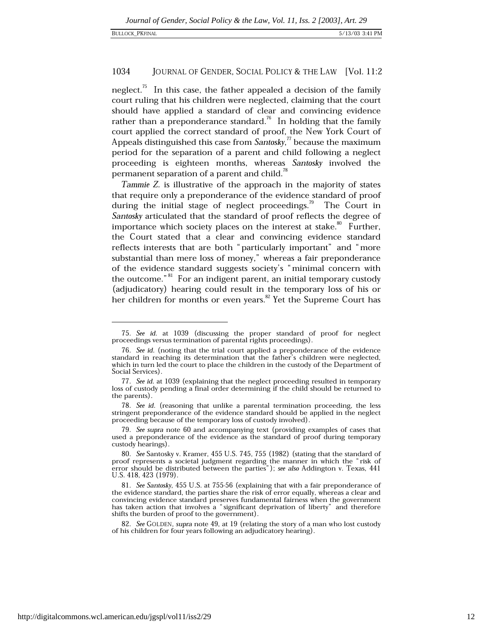### 1034 JOURNAL OF GENDER, SOCIAL POLICY & THE LAW [Vol. 11:2

neglect.<sup>75</sup> In this case, the father appealed a decision of the family court ruling that his children were neglected, claiming that the court should have applied a standard of clear and convincing evidence rather than a preponderance standard.<sup>76</sup> In holding that the family court applied the correct standard of proof, the New York Court of Appeals distinguished this case from Santosky,<sup> $\pi$ </sup> because the maximum period for the separation of a parent and child following a neglect proceeding is eighteen months, whereas Santosky involved the permanent separation of a parent and child.<sup>78</sup>

Tammie Z. is illustrative of the approach in the majority of states that require only a preponderance of the evidence standard of proof during the initial stage of neglect proceedings.<sup>79</sup> The Court in Santosky articulated that the standard of proof reflects the degree of importance which society places on the interest at stake.<sup>80</sup> Further, the Court stated that a clear and convincing evidence standard reflects interests that are both "particularly important" and "more substantial than mere loss of money," whereas a fair preponderance of the evidence standard suggests society's "minimal concern with the outcome."<sup>81</sup> For an indigent parent, an initial temporary custody (adjudicatory) hearing could result in the temporary loss of his or her children for months or even years.<sup>82</sup> Yet the Supreme Court has

<sup>75.</sup> See id. at 1039 (discussing the proper standard of proof for neglect proceedings versus termination of parental rights proceedings).

<sup>76.</sup> See id. (noting that the trial court applied a preponderance of the evidence standard in reaching its determination that the father's children were neglected, which in turn led the court to place the children in the custody of the Department of Social Services).

<sup>77.</sup> See id. at 1039 (explaining that the neglect proceeding resulted in temporary loss of custody pending a final order determining if the child should be returned to the parents).

<sup>78.</sup> See id. (reasoning that unlike a parental termination proceeding, the less stringent preponderance of the evidence standard should be applied in the neglect proceeding because of the temporary loss of custody involved).

<sup>79.</sup> See supra note 60 and accompanying text (providing examples of cases that used a preponderance of the evidence as the standard of proof during temporary custody hearings).

<sup>80.</sup> See Santosky v. Kramer, 455 U.S. 745, 755 (1982) (stating that the standard of proof represents a societal judgment regarding the manner in which the "risk of error should be distributed between the parties"); see also Addington v. Texas, 441 U.S. 418, 423 (1979).

<sup>81.</sup> See Santosky, 455 U.S. at 755-56 (explaining that with a fair preponderance of the evidence standard, the parties share the risk of error equally, whereas a clear and convincing evidence standard preserves fundamental fairness when the government has taken action that involves a "significant deprivation of liberty" and therefore shifts the burden of proof to the government).

<sup>82.</sup> See GOLDEN, supra note 49, at 19 (relating the story of a man who lost custody of his children for four years following an adjudicatory hearing).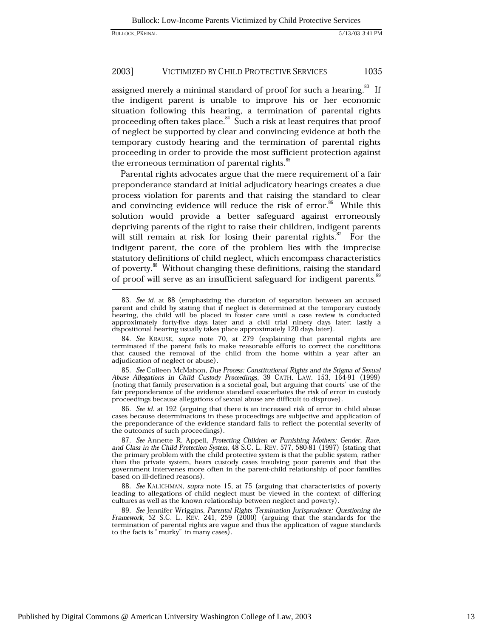assigned merely a minimal standard of proof for such a hearing.<sup>83</sup> If the indigent parent is unable to improve his or her economic situation following this hearing, a termination of parental rights proceeding often takes place.<sup>84</sup> Such a risk at least requires that proof of neglect be supported by clear and convincing evidence at both the temporary custody hearing and the termination of parental rights proceeding in order to provide the most sufficient protection against the erroneous termination of parental rights.<sup>85</sup>

Parental rights advocates argue that the mere requirement of a fair preponderance standard at initial adjudicatory hearings creates a due process violation for parents and that raising the standard to clear and convincing evidence will reduce the risk of error.<sup>86</sup> While this solution would provide a better safeguard against erroneously depriving parents of the right to raise their children, indigent parents will still remain at risk for losing their parental rights.<sup>87</sup> For the indigent parent, the core of the problem lies with the imprecise statutory definitions of child neglect, which encompass characteristics of poverty.<sup>88</sup> Without changing these definitions, raising the standard of proof will serve as an insufficient safeguard for indigent parents.<sup>89</sup>

86. See id. at 192 (arguing that there is an increased risk of error in child abuse cases because determinations in these proceedings are subjective and application of the preponderance of the evidence standard fails to reflect the potential severity of the outcomes of such proceedings).

88. See KALICHMAN, supra note 15, at 75 (arguing that characteristics of poverty leading to allegations of child neglect must be viewed in the context of differing cultures as well as the known relationship between neglect and poverty).

89. See Jennifer Wriggins, Parental Rights Termination Jurisprudence: Questioning the Framework, 52 S.C. L. REV. 241, 259 (2000) (arguing that the standards for the termination of parental rights are vague and thus the application of vague standards to the facts is "murky" in many cases).

<sup>83.</sup> See id. at 88 (emphasizing the duration of separation between an accused parent and child by stating that if neglect is determined at the temporary custody hearing, the child will be placed in foster care until a case review is conducted approximately forty-five days later and a civil trial ninety days later; lastly a dispositional hearing usually takes place approximately 120 days later).

<sup>84.</sup> See KRAUSE, supra note 70, at 279 (explaining that parental rights are terminated if the parent fails to make reasonable efforts to correct the conditions that caused the removal of the child from the home within a year after an adjudication of neglect or abuse).

<sup>85.</sup> See Colleen McMahon, Due Process: Constitutional Rights and the Stigma of Sexual Abuse Allegations in Child Custody Proceedings, 39 CATH. LAW. 153, 164-91 (1999) (noting that family preservation is a societal goal, but arguing that courts' use of the fair preponderance of the evidence standard exacerbates the risk of error in custody proceedings because allegations of sexual abuse are difficult to disprove).

<sup>87.</sup> See Annette R. Appell, Protecting Children or Punishing Mothers: Gender, Race, and Class in the Child Protection System,  $48$  S.C. L. REV. 577, 580-81 (1997) (stating that the primary problem with the child protective system is that the public system, rather than the private system, hears custody cases involving poor parents and that the government intervenes more often in the parent-child relationship of poor families based on ill-defined reasons).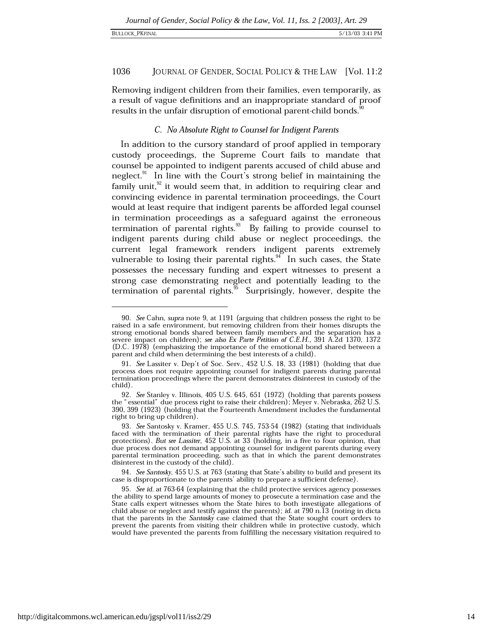#### 1036 JOURNAL OF GENDER, SOCIAL POLICY & THE LAW [Vol. 11:2]

Removing indigent children from their families, even temporarily, as a result of vague definitions and an inappropriate standard of proof results in the unfair disruption of emotional parent-child bonds.

# C. No Absolute Right to Counsel for Indigent Parents

In addition to the cursory standard of proof applied in temporary custody proceedings, the Supreme Court fails to mandate that counsel be appointed to indigent parents accused of child abuse and neglect.<sup>91</sup> In line with the Court's strong belief in maintaining the family unit, $^{32}$  it would seem that, in addition to requiring clear and convincing evidence in parental termination proceedings, the Court would at least require that indigent parents be afforded legal counsel in termination proceedings as a safeguard against the erroneous termination of parental rights.<sup>33</sup> By failing to provide counsel to indigent parents during child abuse or neglect proceedings, the current legal framework renders indigent parents extremely vulnerable to losing their parental rights.<sup>94</sup> In such cases, the State possesses the necessary funding and expert witnesses to present a strong case demonstrating neglect and potentially leading to the termination of parental rights.<sup>35</sup> Surprisingly, however, despite the

<sup>90.</sup> See Cahn, supra note 9, at 1191 (arguing that children possess the right to be raised in a safe environment, but removing children from their homes disrupts the strong emotional bonds shared between family members and the separation has a severe impact on children); see also Ex Parte Petition of C.E.H., 391 A.2d 1370, 1372 (D.C. 1978) (emphasizing the importance of the emotional bond shared between a parent and child when determining the best interests of a child).

<sup>91.</sup> See Lassiter v. Dep't of Soc. Serv., 452 U.S. 18, 33 (1981) (holding that due process does not require appointing counsel for indigent parents during parental termination proceedings where the parent demonstrates disinterest in custody of the child)

<sup>92.</sup> See Stanley v. Illinois, 405 U.S. 645, 651 (1972) (holding that parents possess the "essential" due process right to raise their children); Meyer v. Nebraska, 262 U.S. 390, 399 (1923) (holding that the Fourteenth Amendment includes the fundamental right to bring up children).

<sup>93.</sup> See Santosky v. Kramer, 455 U.S. 745, 753-54 (1982) (stating that individuals faced with the termination of their parental rights have the right to procedural protections). But see Lassiter, 452 U.S. at 33 (holding, in a five to four opinion, that due process does not demand appointing counsel for indigent parents during every parental termination proceeding, such as that in which the parent demonstrates disinterest in the custody of the child).

<sup>94.</sup> See Santosky, 455 U.S. at 763 (stating that State's ability to build and present its case is disproportionate to the parents' ability to prepare a sufficient defense).

<sup>95.</sup> See id. at 763-64 (explaining that the child protective services agency possesses the ability to spend large amounts of money to prosecute a termination case and the State calls expert witnesses whom the State hires to both investigate allegations of child abuse or neglect and testify against the parents); *id.* at 790 n.13 (noting in dicta that the parents in the Santosky case claimed that the State sought court orders to prevent the parents from visiting their children while in protective custody, which would have prevented the parents from fulfilling the necessary visitation required to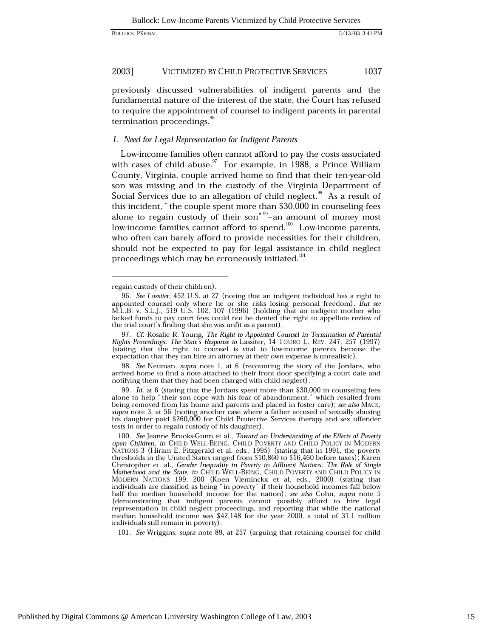previously discussed vulnerabilities of indigent parents and the fundamental nature of the interest of the state, the Court has refused to require the appointment of counsel to indigent parents in parental termination proceedings.<sup>96</sup>

# 1. Need for Legal Representation for Indigent Parents

Low-income families often cannot afford to pay the costs associated with cases of child abuse.<sup>97</sup> For example, in 1988, a Prince William County, Virginia, couple arrived home to find that their ten-year-old son was missing and in the custody of the Virginia Department of Social Services due to an allegation of child neglect.<sup>38</sup> As a result of this incident, "the couple spent more than \$30,000 in counseling fees alone to regain custody of their son<sup>" $\frac{99}{2}$ </sup> an amount of money most low-income families cannot afford to spend.<sup>100</sup> Low-income parents, who often can barely afford to provide necessities for their children, should not be expected to pay for legal assistance in child neglect proceedings which may be erroneously initiated.<sup>101</sup>

98. See Neuman, supra note 1, at 6 (recounting the story of the Jordans, who arrived home to find a note attached to their front door specifying a court date and notifying them that they had been charged with child neglect).

99. Id. at 6 (stating that the Jordans spent more than \$30,000 in counseling fees alone to help "their son cope with his fear of abandonment," which resulted from being removed from his home and parents and placed in foster care); see also MACK, supra note 3, at 56 (noting another case where a father accused of sexually abusing his daughter paid \$260,000 for Child Protective Services therapy and sex offender tests in order to regain custody of his daughter).

101. See Wriggins, supra note 89, at 257 (arguing that retaining counsel for child

regain custody of their children).

<sup>96.</sup> See Lassiter, 452 U.S. at 27 (noting that an indigent individual has a right to appointed counsel only where he or she risks losing personal freedom). But see M.L.B. v. S.L.J., 519 U.S. 102, 107 (1996) (holding that an indigent mother who lacked funds to pay court fees could not be denied the right to appellate review of the trial court's finding that she was unfit as a parent).

<sup>97.</sup> Cf. Rosalie R. Young, The Right to Appointed Counsel in Termination of Parental Rights Proceedings: The State's Response to Lassiter, 14 TOURO L. REV. 247, 257 (1997) (stating that the right to counsel is vital to low-income parents because the expectation that they can hire an attorney at their own expense is unrealistic).

<sup>100.</sup> See Jeanne Brooks-Gunn et al., Toward an Understanding of the Effects of Poverty upon Children, in CHILD WELL-BEING, CHILD POVERTY AND CHILD POLICY IN MODERN NATIONS 3 (Hiram E. Fitzgerald et al. eds., 1995) (stating that in 1991, the poverty thresholds in the United States ranged from \$10,860 to \$16,460 before taxes); Karen Christopher et. al., Gender Inequality in Poverty in Affluent Nations: The Role of Single Motherhood and the State, in CHILD WELL-BEING, CHILD POVERTY AND CHILD POLICY IN MODERN NATIONS 199, 200 (Koen Vleminckx et al. eds., 2000) (stating that individuals are classified as being "in poverty" if their household incomes fall below half the median household income for the nation); see also Cohn, supra note 5 (demonstrating that indigent parents cannot possibly afford to hire legal representation in child neglect proceedings, and reporting that while the national median household income was \$42,148 for the year 2000, a total of 31.1 million individuals still remain in poverty).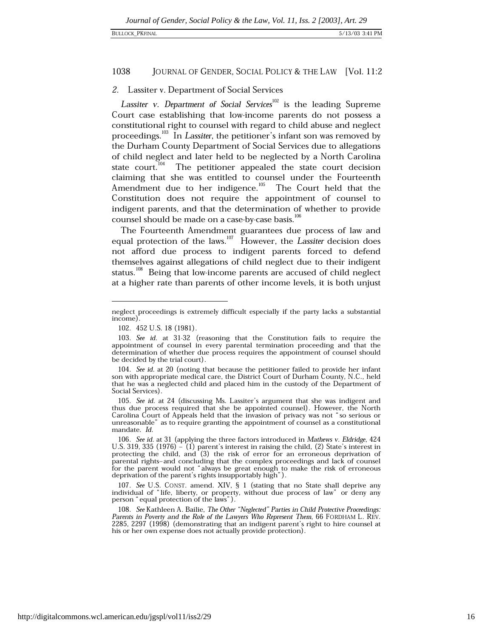#### 1038 JOURNAL OF GENDER, SOCIAL POLICY & THE LAW [Vol. 11:2]

# 2. Lassiter v. Department of Social Services

Lassiter v. Department of Social Services<sup>102</sup> is the leading Supreme Court case establishing that low-income parents do not possess a constitutional right to counsel with regard to child abuse and neglect proceedings.<sup>103</sup> In Lassiter, the petitioner's infant son was removed by the Durham County Department of Social Services due to allegations of child neglect and later held to be neglected by a North Carolina state court.<sup>104</sup> The petitioner appealed the state court decision claiming that she was entitled to counsel under the Fourteenth Amendment due to her indigence.<sup>105</sup> The Court held that the Constitution does not require the appointment of counsel to indigent parents, and that the determination of whether to provide counsel should be made on a case-by-case basis.<sup>106</sup>

The Fourteenth Amendment guarantees due process of law and equal protection of the laws.<sup>107</sup> However, the Lassiter decision does not afford due process to indigent parents forced to defend themselves against allegations of child neglect due to their indigent status.<sup>108</sup> Being that low-income parents are accused of child neglect at a higher rate than parents of other income levels, it is both unjust

neglect proceedings is extremely difficult especially if the party lacks a substantial income).

<sup>102. 452</sup> U.S. 18 (1981).

<sup>103.</sup> See id. at 31-32 (reasoning that the Constitution fails to require the appointment of counsel in every parental termination proceeding and that the determination of whether due process requires the appointment of counsel should be decided by the trial court).

<sup>104.</sup> See id. at 20 (noting that because the petitioner failed to provide her infant son with appropriate medical care, the District Court of Durham County, N.C., held that he was a neglected child and placed him in the custody of the Department of Social Services).

<sup>105.</sup> See id. at 24 (discussing Ms. Lassiter's argument that she was indigent and thus due process required that she be appointed counsel). However, the North Carolina Court of Appeals held that the invasion of privacy was not "so serious or unreasonable" as to require granting the appointment of counsel as a constitutional mandate. Id.

<sup>106.</sup> See id. at 31 (applying the three factors introduced in Mathews v. Eldridge, 424 U.S. 319, 335 (1976) – (1) parent's interest in raising the child, (2) State's interest in protecting the child, and (3) the risk of error for an erroneous deprivation of parental rights-and concluding that the complex proceedings and lack of counsel for the parent would not "always be great enough to make the risk of erroneous deprivation of the parent's rights insupportably high").

<sup>107.</sup> See U.S. CONST. amend. XIV, § 1 (stating that no State shall deprive any individual of "life, liberty, or property, without due process of law" or deny any person "equal protection of the laws").

<sup>108.</sup> See Kathleen A. Bailie, The Other "Neglected" Parties in Child Protective Proceedings: Parents in Poverty and the Role of the Lawyers Who Represent Them, 66 FORDHAM L. REV. 2285, 2297 (1998) (demonstrating that an indigent parent's right to hire counsel at his or her own expense does not actually provide protection).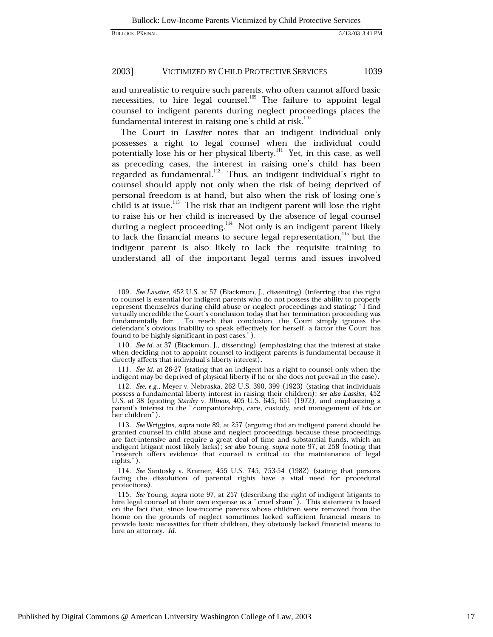2003]

1039

and unrealistic to require such parents, who often cannot afford basic necessities, to hire legal counsel.<sup>109</sup> The failure to appoint legal counsel to indigent parents during neglect proceedings places the fundamental interest in raising one's child at risk.<sup>110</sup>

The Court in Lassiter notes that an indigent individual only possesses a right to legal counsel when the individual could potentially lose his or her physical liberty.<sup>111</sup> Yet, in this case, as well as preceding cases, the interest in raising one's child has been regarded as fundamental.<sup>112</sup> Thus, an indigent individual's right to counsel should apply not only when the risk of being deprived of personal freedom is at hand, but also when the risk of losing one's child is at issue.<sup>113</sup> The risk that an indigent parent will lose the right to raise his or her child is increased by the absence of legal counsel during a neglect proceeding.<sup>114</sup> Not only is an indigent parent likely to lack the financial means to secure legal representation,<sup>115</sup> but the indigent parent is also likely to lack the requisite training to understand all of the important legal terms and issues involved

<sup>109.</sup> See Lassiter, 452 U.S. at 57 (Blackmun, J., dissenting) (inferring that the right to counsel is essential for indigent parents who do not possess the ability to properly represent themselves during child abuse or neglect proceedings and stating: "I find virtually incredible the Court's conclusion today that her termination proceeding was fundamentally fair. To reach that conclusion, the Court simply ignores the defendant's obvious inability to speak effectively for herself, a factor the Court has found to be highly significant in past cases.").

<sup>110.</sup> See id. at 37 (Blackmun, J., dissenting) (emphasizing that the interest at stake when deciding not to appoint counsel to indigent parents is fundamental because it directly affects that individual's liberty interest).

<sup>111.</sup> See id. at 26-27 (stating that an indigent has a right to counsel only when the indigent may be deprived of physical liberty if he or she does not prevail in the case).

<sup>112.</sup> See, e.g., Meyer v. Nebraska, 262 U.S. 390, 399 (1923) (stating that individuals possess a fundamental liberty interest in raising their children); see also Lassiter, 452<br>U.S. at 38 (quoting *Stanley v. Illinois*, 405 U.S. 645, 651 (1972), and emphasizing a parent's interest in the "companionship, care, custody, and management of his or her children").

<sup>113.</sup> See Wriggins, supra note 89, at 257 (arguing that an indigent parent should be granted counsel in child abuse and neglect proceedings because these proceedings are fact-intensive and require a great deal of time and substantial funds, which an indigent litigant most likely lacks); see also Young, supra note 97, at 258 (noting that research offers evidence that counsel is critical to the maintenance of legal rights.").

<sup>114.</sup> See Santosky v. Kramer, 455 U.S. 745, 753-54 (1982) (stating that persons facing the dissolution of parental rights have a vital need for procedural protections).

<sup>115.</sup> See Young, supra note 97, at 257 (describing the right of indigent litigants to hire legal counsel at their own expense as a "cruel sham"). This statement is based on the fact that, since low-income parents whose children were removed from the home on the grounds of neglect sometimes lacked sufficient financial means to provide basic necessities for their children, they obviously lacked financial means to hire an attorney. Id.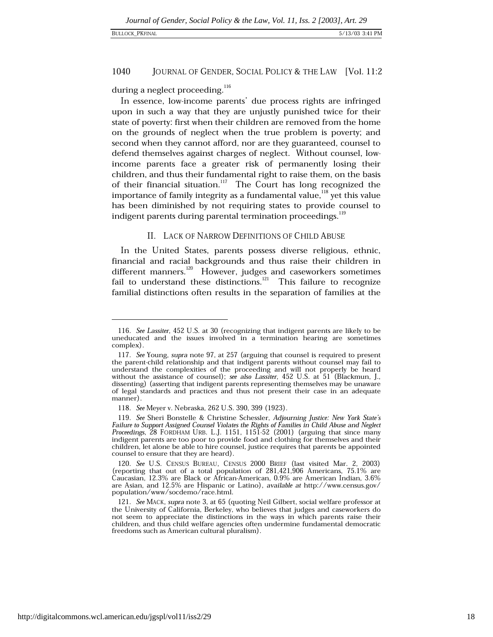#### 1040 JOURNAL OF GENDER, SOCIAL POLICY & THE LAW [Vol. 11:2

during a neglect proceeding.<sup>116</sup>

In essence, low-income parents' due process rights are infringed upon in such a way that they are unjustly punished twice for their state of poverty: first when their children are removed from the home on the grounds of neglect when the true problem is poverty; and second when they cannot afford, nor are they guaranteed, counsel to defend themselves against charges of neglect. Without counsel, lowincome parents face a greater risk of permanently losing their children, and thus their fundamental right to raise them, on the basis of their financial situation.<sup>117</sup> The Court has long recognized the importance of family integrity as a fundamental value.<sup>118</sup> yet this value has been diminished by not requiring states to provide counsel to indigent parents during parental termination proceedings.<sup>119</sup>

## II. LACK OF NARROW DEFINITIONS OF CHILD ABUSE

In the United States, parents possess diverse religious, ethnic, financial and racial backgrounds and thus raise their children in different manners.<sup>120</sup> However, judges and caseworkers sometimes fail to understand these distinctions. $^{121}$  This failure to recognize familial distinctions often results in the separation of families at the

<sup>116.</sup> See Lassiter, 452 U.S. at 30 (recognizing that indigent parents are likely to be uneducated and the issues involved in a termination hearing are sometimes complex).

<sup>117.</sup> See Young, supra note 97, at 257 (arguing that counsel is required to present the parent-child relationship and that indigent parents without counsel may fail to understand the complexities of the proceeding and will not properly be heard without the assistance of counsel); see also Lassiter, 452 U.S. at 51 (Blackmun, J., dissenting) (asserting that indigent parents representing themselves may be unaware of legal standards and practices and thus not present their case in an adequate manner).

<sup>118.</sup> See Meyer v. Nebraska, 262 U.S. 390, 399 (1923).

<sup>119.</sup> See Sheri Bonstelle & Christine Schessler, Adjourning Justice: New York State's Failure to Support Assigned Counsel Violates the Rights of Families in Child Abuse and Neglect<br>Proceedings, 28 FORDHAM URB. L.J. 1151, 1151-52 (2001) (arguing that since many indigent parents are too poor to provide food and clothing for themselves and their children, let alone be able to hire counsel, justice requires that parents be appointed counsel to ensure that they are heard).

<sup>120.</sup> See U.S. CENSUS BUREAU, CENSUS 2000 BRIEF (last visited Mar. 2, 2003) (reporting that out of a total population of 281,421,906 Americans, 75.1% are Caucasian, 12.3% are Black or African-American, 0.9% are American Indian, 3.6% are Asian, and 12.5% are Hispanic or Latino), available at http://www.census.gov/ population/www/socdemo/race.html.

<sup>121.</sup> See MACK, supra note 3, at 65 (quoting Neil Gilbert, social welfare professor at the University of California, Berkeley, who believes that judges and caseworkers do not seem to appreciate the distinctions in the ways in which parents raise their children, and thus child welfare agencies often undermine fundamental democratic freedoms such as American cultural pluralism).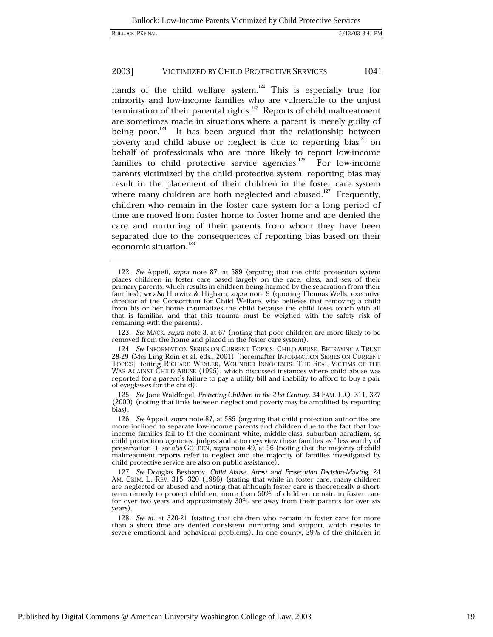hands of the child welfare system.<sup>122</sup> This is especially true for minority and low-income families who are vulnerable to the unjust termination of their parental rights.<sup>123</sup> Reports of child maltreatment are sometimes made in situations where a parent is merely guilty of being poor. $^{124}$  It has been argued that the relationship between poverty and child abuse or neglect is due to reporting bias<sup>125</sup> on behalf of professionals who are more likely to report low-income families to child protective service agencies.<sup>126</sup> For low-income parents victimized by the child protective system, reporting bias may result in the placement of their children in the foster care system where many children are both neglected and abused.<sup>127</sup> Frequently, children who remain in the foster care system for a long period of time are moved from foster home to foster home and are denied the care and nurturing of their parents from whom they have been separated due to the consequences of reporting bias based on their economic situation.<sup>128</sup>

<sup>122.</sup> See Appell, supra note 87, at 589 (arguing that the child protection system places children in foster care based largely on the race, class, and sex of their primary parents, which results in children being harmed by the separation from their families); see also Horwitz & Higham, supra note 9 (quoting Thomas Wells, executive director of the Consortium for Child Welfare, who believes that removing a child from his or her home traumatizes the child because the child loses touch with all that is familiar, and that this trauma must be weighed with the safety risk of remaining with the parents).

<sup>123.</sup> See MACK, supra note 3, at 67 (noting that poor children are more likely to be removed from the home and placed in the foster care system).

<sup>124.</sup> See INFORMATION SERIES ON CURRENT TOPICS: CHILD ABUSE, BETRAYING A TRUST 28-29 (Mei Ling Rein et al. eds., 2001) [hereinafter INFORMATION SERIES ON CURRENT TOPICS] (citing RICHARD WEXLER, WOUNDED INNOCENTS: THE REAL VICTIMS OF THE WAR AGAINST CHILD ABUSE (1995), which discussed instances where child abuse was reported for a parent's failure to pay a utility bill and inability to afford to buy a pair of eyeglasses for the child).

<sup>125.</sup> See Jane Waldfogel, Protecting Children in the 21st Century, 34 FAM. L.Q. 311, 327 (2000) (noting that links between neglect and poverty may be amplified by reporting bias).

<sup>126.</sup> See Appell, supra note 87, at 585 (arguing that child protection authorities are more inclined to separate low-income parents and children due to the fact that lowincome families fail to fit the dominant white, middle-class, suburban paradigm, so child protection agencies, judges and attorneys view these families as "less worthy of preservation"); see also GOLDEN, supra note 49, at 56 (noting that the majority of child maltreatment reports refer to neglect and the majority of families investigated by child protective service are also on public assistance).

<sup>127.</sup> See Douglas Besharov, Child Abuse: Arrest and Prosecution Decision-Making, 24 AM. CRIM. L. REV. 315, 320 (1986) (stating that while in foster care, many children are neglected or abused and noting that although foster care is theoretically a shortterm remedy to protect children, more than 50% of children remain in foster care for over two years and approximately 30% are away from their parents for over six years).

<sup>128.</sup> See id. at 320-21 (stating that children who remain in foster care for more than a short time are denied consistent nurturing and support, which results in severe emotional and behavioral problems). In one county, 29% of the children in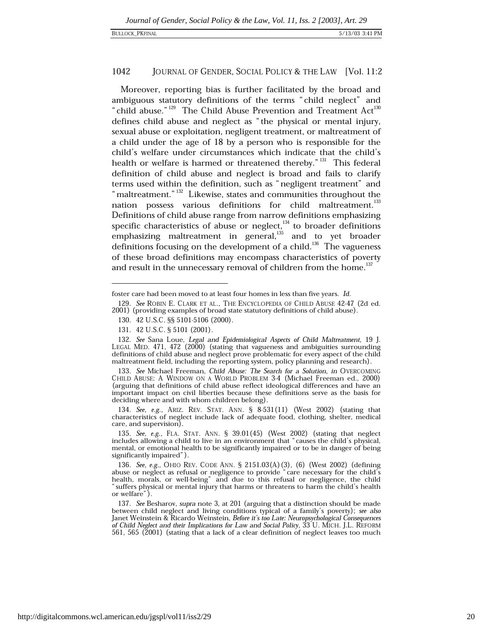### 1042 JOURNAL OF GENDER, SOCIAL POLICY & THE LAW [Vol. 11:2]

Moreover, reporting bias is further facilitated by the broad and ambiguous statutory definitions of the terms "child neglect" and "child abuse."<sup>129</sup> The Child Abuse Prevention and Treatment Act<sup>130</sup> defines child abuse and neglect as "the physical or mental injury, sexual abuse or exploitation, negligent treatment, or maltreatment of a child under the age of 18 by a person who is responsible for the child's welfare under circumstances which indicate that the child's health or welfare is harmed or threatened thereby."<sup>131</sup> This federal definition of child abuse and neglect is broad and fails to clarify terms used within the definition, such as "negligent treatment" and "maltreatment."<sup>132</sup> Likewise, states and communities throughout the nation possess various definitions for child maltreatment.<sup>133</sup> Definitions of child abuse range from narrow definitions emphasizing specific characteristics of abuse or neglect, $134$  to broader definitions emphasizing maltreatment in general, $^{135}$  and to yet broader definitions focusing on the development of a child.<sup>136</sup> The vagueness of these broad definitions may encompass characteristics of poverty and result in the unnecessary removal of children from the home.<sup>137</sup>

134. See, e.g., ARIZ. REV. STAT. ANN. § 8-531(11) (West 2002) (stating that characteristics of neglect include lack of adequate food, clothing, shelter, medical care, and supervision).

135. See, e.g., FLA. STAT. ANN. § 39.01(45) (West 2002) (stating that neglect includes allowing a child to live in an environment that "causes the child's physical, mental, or emotional health to be significantly impaired or to be in danger of being significantly impaired").

foster care had been moved to at least four homes in less than five years. Id.

<sup>129.</sup> See ROBIN E. CLARK ET AL., THE ENCYCLOPEDIA OF CHILD ABUSE 42-47 (2d ed. 2001) (providing examples of broad state statutory definitions of child abuse).

<sup>130. 42</sup> U.S.C. §§ 5101-5106 (2000).

<sup>131. 42</sup> U.S.C. § 5101 (2001).

<sup>132.</sup> See Sana Loue, Legal and Epidemiological Aspects of Child Maltreatment, 19 J. LEGAL MED. 471, 472 (2000) (stating that vagueness and ambiguities surrounding definitions of child abuse and neglect prove problematic for every aspect of the child maltreatment field, including the reporting system, policy planning and research).

<sup>133.</sup> See Michael Freeman, Child Abuse: The Search for a Solution, in OVERCOMING CHILD ABUSE: A WINDOW ON A WORLD PROBLEM 3-4 (Michael Freeman ed., 2000) (arguing that definitions of child abuse reflect ideological differences and have an important impact on civil liberties because these definitions serve as the basis for deciding where and with whom children belong).

<sup>136.</sup> See, e.g., OHIO REV. CODE ANN. § 2151.03(A)(3), (6) (West 2002) (defining abuse or neglect as refusal or negligence to provide "care necessary for the child's health, morals, or well-being" and due to this refusal or negligence, the child<br>"suffers physical or mental injury that harms or threatens to harm the child's health or welfare").

<sup>137.</sup> See Besharov, supra note 3, at 201 (arguing that a distinction should be made between child neglect and living conditions typical of a family's poverty); see also Janet Weinstein & Ricardo Weinstein, Before it's too Late: Neuropsychological Consequences of Child Neglect and their Implications for Law and Social Policy, 33 U. MICH. J.L. REFORM 561, 565 (2001) (stating that a lack of a clear definition of neglect leaves too much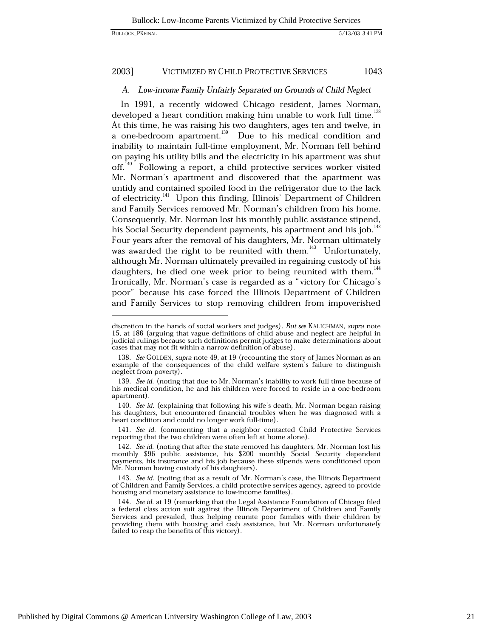#### 2003] VICTIMIZED BY CHILD PROTECTIVE SERVICES 1043

# A. Low-income Family Unfairly Separated on Grounds of Child Neglect

In 1991, a recently widowed Chicago resident, James Norman, developed a heart condition making him unable to work full time.<sup>138</sup> At this time, he was raising his two daughters, ages ten and twelve, in a one-bedroom apartment.<sup>139</sup> Due to his medical condition and inability to maintain full-time employment, Mr. Norman fell behind on paying his utility bills and the electricity in his apartment was shut off.<sup>140</sup> Following a report, a child protective services worker visited Mr. Norman's apartment and discovered that the apartment was untidy and contained spoiled food in the refrigerator due to the lack of electricity.<sup>141</sup> Upon this finding, Illinois' Department of Children and Family Services removed Mr. Norman's children from his home. Consequently, Mr. Norman lost his monthly public assistance stipend, his Social Security dependent payments, his apartment and his job.<sup>142</sup> Four years after the removal of his daughters, Mr. Norman ultimately was awarded the right to be reunited with them.<sup>143</sup> Unfortunately. although Mr. Norman ultimately prevailed in regaining custody of his daughters, he died one week prior to being reunited with them.<sup>144</sup> Ironically, Mr. Norman's case is regarded as a "victory for Chicago's poor" because his case forced the Illinois Department of Children and Family Services to stop removing children from impoverished

discretion in the hands of social workers and judges). But see KALICHMAN, supra note 15, at 186 (arguing that vague definitions of child abuse and neglect are helpful in judicial rulings because such definitions permit judges to make determinations about cases that may not fit within a narrow definition of abuse).

<sup>138.</sup> See GOLDEN, supra note 49, at 19 (recounting the story of James Norman as an example of the consequences of the child welfare system's failure to distinguish neglect from poverty).

<sup>139.</sup> See id. (noting that due to Mr. Norman's inability to work full time because of his medical condition, he and his children were forced to reside in a one-bedroom apartment).

<sup>140.</sup> See id. (explaining that following his wife's death, Mr. Norman began raising his daughters, but encountered financial troubles when he was diagnosed with a heart condition and could no longer work full-time).

<sup>141.</sup> See id. (commenting that a neighbor contacted Child Protective Services reporting that the two children were often left at home alone).

<sup>142.</sup> See id. (noting that after the state removed his daughters, Mr. Norman lost his monthly \$96 public assistance, his \$200 monthly Social Security dependent payments, his insurance and his job because these stipends were conditioned upon Mr. Norman having custody of his daughters).

<sup>143.</sup> See id. (noting that as a result of Mr. Norman's case, the Illinois Department of Children and Family Services, a child protective services agency, agreed to provide housing and monetary assistance to low-income families).

<sup>144.</sup> See id. at 19 (remarking that the Legal Assistance Foundation of Chicago filed a federal class action suit against the Illinois Department of Children and Family Services and prevailed, thus helping reunite poor families with their children by providing them with housing and cash assistance, but Mr. Norman unfortunately failed to reap the benefits of this victory).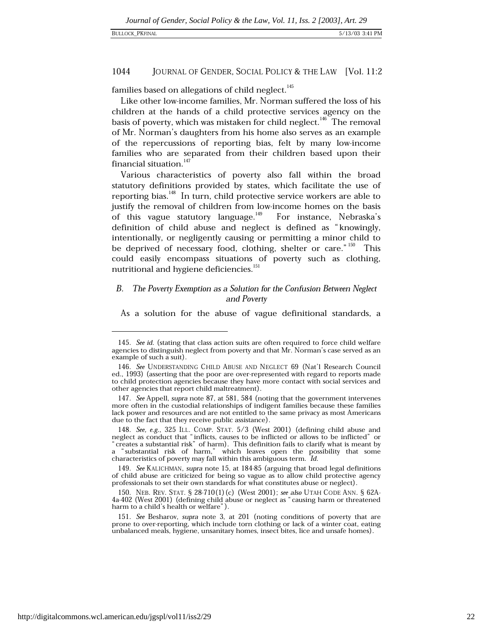### 1044 JOURNAL OF GENDER, SOCIAL POLICY & THE LAW [Vol. 11:2]

families based on allegations of child neglect.<sup>145</sup>

Like other low-income families, Mr. Norman suffered the loss of his children at the hands of a child protective services agency on the basis of poverty, which was mistaken for child neglect.<sup>146</sup> The removal of Mr. Norman's daughters from his home also serves as an example of the repercussions of reporting bias, felt by many low-income families who are separated from their children based upon their financial situation.<sup>147</sup>

Various characteristics of poverty also fall within the broad statutory definitions provided by states, which facilitate the use of reporting bias.<sup>148</sup> In turn, child protective service workers are able to justify the removal of children from low-income homes on the basis of this vague statutory language.<sup>149</sup> For instance, Nebraska's definition of child abuse and neglect is defined as "knowingly, intentionally, or negligently causing or permitting a minor child to be deprived of necessary food, clothing, shelter or care."<sup>150</sup> This could easily encompass situations of poverty such as clothing, nutritional and hygiene deficiencies.<sup>151</sup>

### В. The Poverty Exemption as a Solution for the Confusion Between Neglect and Poverty

As a solution for the abuse of vague definitional standards, a

<sup>145.</sup> See id. (stating that class action suits are often required to force child welfare agencies to distinguish neglect from poverty and that Mr. Norman's case served as an example of such a suit).

<sup>146.</sup> See UNDERSTANDING CHILD ABUSE AND NEGLECT 69 (Nat'l Research Council ed., 1993) (asserting that the poor are over-represented with regard to reports made to child protection agencies because they have more contact with social services and other agencies that report child maltreatment).

<sup>147.</sup> See Appell, supra note 87, at 581, 584 (noting that the government intervenes more often in the custodial relationships of indigent families because these families lack power and resources and are not entitled to the same privacy as most Americans due to the fact that they receive public assistance).

<sup>148.</sup> See, e.g., 325 ILL. COMP. STAT.  $5/3$  (West 2001) (defining child abuse and neglect as conduct that "inflicts, causes to be inflicted or allows to be inflicted" or "creates a substantial risk" of harm). This definiti a "substantial risk of harm," which leaves open the possibility that some characteristics of poverty may fall within this ambiguous term. Id.

<sup>149.</sup> See KALICHMAN, supra note 15, at 184-85 (arguing that broad legal definitions of child abuse are criticized for being so vague as to allow child protective agency professionals to set their own standards for what constitutes abuse or neglect).

<sup>150.</sup> NEB. REV. STAT. § 28-710(1)(c) (West 2001); see also UTAH CODE ANN. § 62A-4a-402 (West 2001) (defining child abuse or neglect as "causing harm or threatened harm to a child's health or welfare").

<sup>151.</sup> See Besharov, supra note 3, at 201 (noting conditions of poverty that are prone to over-reporting, which include torn clothing or lack of a winter coat, eating unbalanced meals, hygiene, unsanitary homes, insect bites, lice and unsafe homes).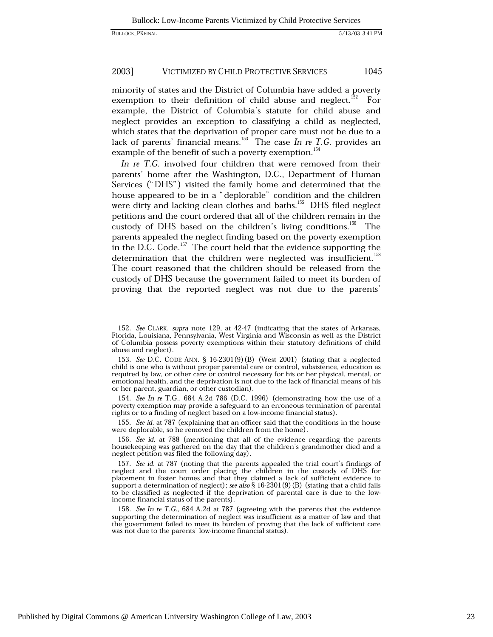#### 2003] VICTIMIZED BY CHILD PROTECTIVE SERVICES 1045

minority of states and the District of Columbia have added a poverty exemption to their definition of child abuse and neglect.<sup>152</sup> For example, the District of Columbia's statute for child abuse and neglect provides an exception to classifying a child as neglected, which states that the deprivation of proper care must not be due to a lack of parents' financial means.<sup>153</sup> The case *In re T.G.* provides an example of the benefit of such a poverty exemption.<sup>154</sup>

In re T.G. involved four children that were removed from their parents' home after the Washington, D.C., Department of Human Services ("DHS") visited the family home and determined that the house appeared to be in a "deplorable" condition and the children were dirty and lacking clean clothes and baths.<sup>155</sup> DHS filed neglect petitions and the court ordered that all of the children remain in the custody of DHS based on the children's living conditions.<sup>156</sup> The parents appealed the neglect finding based on the poverty exemption in the D.C. Code.<sup>157</sup> The court held that the evidence supporting the determination that the children were neglected was insufficient.<sup>158</sup> The court reasoned that the children should be released from the custody of DHS because the government failed to meet its burden of proving that the reported neglect was not due to the parents'

155. See id. at 787 (explaining that an officer said that the conditions in the house were deplorable, so he removed the children from the home).

<sup>152.</sup> See CLARK, supra note 129, at 42-47 (indicating that the states of Arkansas, Florida, Louisiana, Pennsylvania, West Virginia and Wisconsin as well as the District of Columbia possess poverty exemptions within their statutory definitions of child abuse and neglect).

<sup>153.</sup> See D.C. CODE ANN. § 16-2301(9)(B) (West 2001) (stating that a neglected child is one who is without proper parental care or control, subsistence, education as required by law, or other care or control necessary for his or her physical, mental, or emotional health, and the deprivation is not due to the lack of financial means of his or her parent, guardian, or other custodian).

<sup>154.</sup> See In re T.G., 684 A.2d 786 (D.C. 1996) (demonstrating how the use of a poverty exemption may provide a safeguard to an erroneous termination of parental rights or to a finding of neglect based on a low-income financial status).

<sup>156.</sup> See id. at 788 (mentioning that all of the evidence regarding the parents housekeeping was gathered on the day that the children's grandmother died and a neglect petition was filed the following day).

<sup>157.</sup> See id. at 787 (noting that the parents appealed the trial court's findings of neglect and the court order placing the children in the custody of DHS for placement in foster homes and that they claimed a lack of sufficient evidence to support a determination of neglect); see also  $\S 16-2301(9)(B)$  (stating that a child fails to be classified as neglected if the deprivation of parental care is due to the lowincome financial status of the parents).

<sup>158.</sup> See In re T.G., 684 A.2d at 787 (agreeing with the parents that the evidence supporting the determination of neglect was insufficient as a matter of law and that the government failed to meet its burden of proving that the lack of sufficient care was not due to the parents' low-income financial status).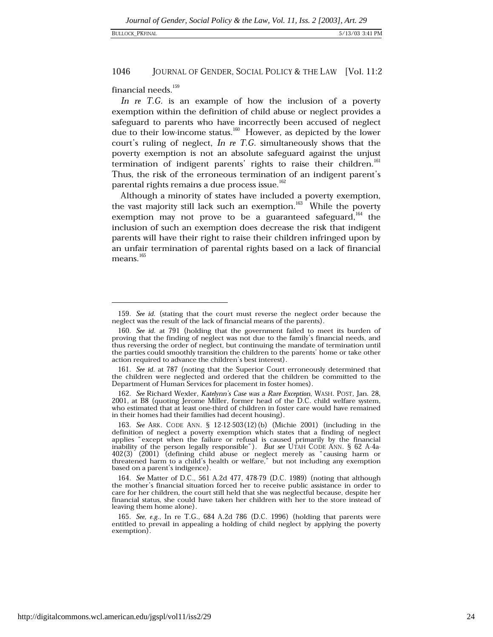#### 1046 JOURNAL OF GENDER, SOCIAL POLICY & THE LAW [Vol. 11:2

financial needs.<sup>159</sup>

In re T.G. is an example of how the inclusion of a poverty exemption within the definition of child abuse or neglect provides a safeguard to parents who have incorrectly been accused of neglect due to their low-income status.<sup>160</sup> However, as depicted by the lower court's ruling of neglect,  $\ln$  re T.G. simultaneously shows that the poverty exemption is not an absolute safeguard against the unjust termination of indigent parents' rights to raise their children.<sup>161</sup> Thus, the risk of the erroneous termination of an indigent parent's parental rights remains a due process issue.<sup>162</sup>

Although a minority of states have included a poverty exemption, the vast majority still lack such an exemption.<sup>163</sup> While the poverty exemption may not prove to be a guaranteed safeguard,  $^{164}$  the inclusion of such an exemption does decrease the risk that indigent parents will have their right to raise their children infringed upon by an unfair termination of parental rights based on a lack of financial means.<sup>165</sup>

<sup>159.</sup> See id. (stating that the court must reverse the neglect order because the neglect was the result of the lack of financial means of the parents).

<sup>160.</sup> See id. at 791 (holding that the government failed to meet its burden of proving that the finding of neglect was not due to the family's financial needs, and thus reversing the order of neglect, but continuing the mandate of termination until the parties could smoothly transition the children to the parents' home or take other action required to advance the children's best interest).

<sup>161.</sup> See id. at 787 (noting that the Superior Court erroneously determined that the children were neglected and ordered that the children be committed to the Department of Human Services for placement in foster homes).

<sup>162.</sup> See Richard Wexler, Katelynn's Case was a Rare Exception, WASH. POST, Jan. 28, 2001, at B8 (quoting Jerome Miller, former head of the D.C. child welfare system, who estimated that at least one-third of children in foster care would have remained in their homes had their families had decent housing).

<sup>163.</sup> See ARK. CODE ANN. § 12-12-503(12)(b) (Michie 2001) (including in the definition of neglect a poverty exemption which states that a finding of neglect applies "except when the failure or refusal is caused primarily by the financial inability of the person legally responsible"). But see UTAH CODE ANN. § 62 A-4a- $402(3)$  (2001) (defining child abuse or neglect merely as "causing harm or threatened harm to a child's health or welfare," but not including any exemption based on a parent's indigence).

<sup>164.</sup> See Matter of D.C., 561 A.2d 477, 478-79 (D.C. 1989) (noting that although the mother's financial situation forced her to receive public assistance in order to care for her children, the court still held that she was neglectful because, despite her financial status, she could have taken her children with her to the store instead of leaving them home alone).

<sup>165.</sup> See, e.g., In re T.G., 684 A.2d 786 (D.C. 1996) (holding that parents were entitled to prevail in appealing a holding of child neglect by applying the poverty exemption).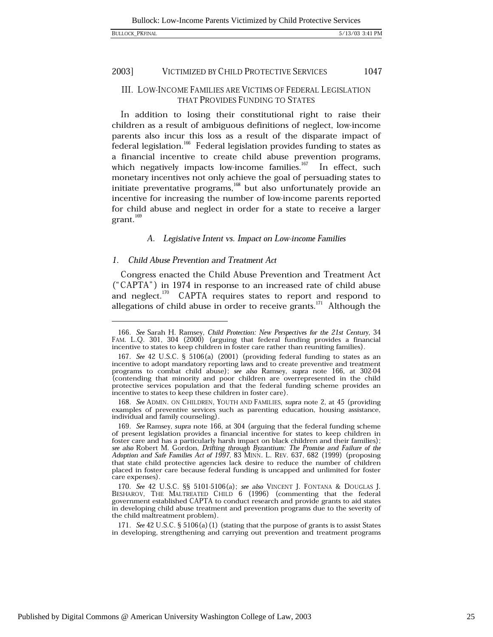#### 2003] VICTIMIZED BY CHILD PROTECTIVE SERVICES 1047

# III. LOW-INCOME FAMILIES ARE VICTIMS OF FEDERAL LEGISLATION **THAT PROVIDES FUNDING TO STATES**

In addition to losing their constitutional right to raise their children as a result of ambiguous definitions of neglect, low-income parents also incur this loss as a result of the disparate impact of federal legislation.<sup>166</sup> Federal legislation provides funding to states as a financial incentive to create child abuse prevention programs, which negatively impacts low-income families.<sup>167</sup> In effect, such monetary incentives not only achieve the goal of persuading states to initiate preventative programs,<sup>168</sup> but also unfortunately provide an incentive for increasing the number of low-income parents reported for child abuse and neglect in order for a state to receive a larger  $grant.<sup>169</sup>$ 

# A. Legislative Intent vs. Impact on Low-income Families

# 1. Child Abuse Prevention and Treatment Act

Congress enacted the Child Abuse Prevention and Treatment Act ("CAPTA") in 1974 in response to an increased rate of child abuse and neglect.<sup>170</sup> CAPTA requires states to report and respond to allegations of child abuse in order to receive grants.<sup>171</sup> Although the

171. See 42 U.S.C. § 5106(a) (1) (stating that the purpose of grants is to assist States in developing, strengthening and carrying out prevention and treatment programs

<sup>166.</sup> See Sarah H. Ramsey, Child Protection: New Perspectives for the 21st Century, 34 FAM. L.Q. 301, 304 (2000) (arguing that federal funding provides a financial incentive to states to keep children in foster care rather than reuniting families).

<sup>167.</sup> See 42 U.S.C. § 5106(a) (2001) (providing federal funding to states as an incentive to adopt mandatory reporting laws and to create preventive and treatment programs to combat child abuse); see also Ramsey, supra note 166, at 302-04 (contending that minority and poor children are overrepresented in the child protective services population and that the federal funding scheme provides an incentive to states to keep these children in foster care).

<sup>168.</sup> See ADMIN. ON CHILDREN, YOUTH AND FAMILIES, supra note 2, at 45 (providing examples of preventive services such as parenting education, housing assistance, individual and family counseling).

<sup>169.</sup> See Ramsey, supra note 166, at 304 (arguing that the federal funding scheme of present legislation provides a financial incentive for states to keep children in foster care and has a particularly harsh impact on black children and their families); see also Robert M. Gordon, Drifting through Byzantium: The Promise and Failure of the Adoption and Safe Families Act of 1997, 83 MINN. L. REV. 637, 682 (1999) (proposing that state child protective agencies lack desire to reduce the number of children placed in foster care because federal funding is uncapped and unlimited for foster care expenses).

<sup>170.</sup> See 42 U.S.C. §§ 5101-5106(a); see also VINCENT J. FONTANA & DOUGLAS J. BESHAROV, THE MALTREATED CHILD 6 (1996) (commenting that the federal government established CAPTA to conduct research and provide grants to aid states in developing child abuse treatment and prevention programs due to the severity of the child maltreatment problem).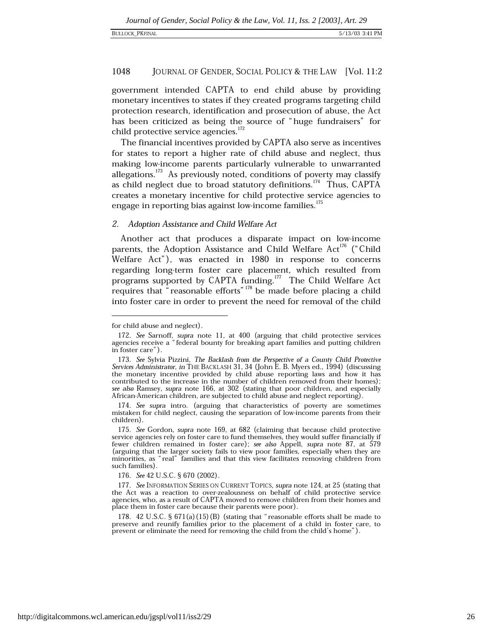#### 1048 JOURNAL OF GENDER, SOCIAL POLICY & THE LAW [Vol. 11:2

government intended CAPTA to end child abuse by providing monetary incentives to states if they created programs targeting child protection research, identification and prosecution of abuse, the Act has been criticized as being the source of "huge fundraisers" for child protective service agencies.<sup>172</sup>

The financial incentives provided by CAPTA also serve as incentives for states to report a higher rate of child abuse and neglect, thus making low-income parents particularly vulnerable to unwarranted allegations.<sup>173</sup> As previously noted, conditions of poverty may classify as child neglect due to broad statutory definitions.<sup>174</sup> Thus, CAPTA creates a monetary incentive for child protective service agencies to engage in reporting bias against low-income families.<sup>175</sup>

# 2. Adoption Assistance and Child Welfare Act

Another act that produces a disparate impact on low-income parents, the Adoption Assistance and Child Welfare Act<sup>176</sup> ("Child" Welfare Act"), was enacted in 1980 in response to concerns regarding long-term foster care placement, which resulted from programs supported by CAPTA funding.<sup>177</sup> The Child Welfare Act requires that "reasonable efforts"<sup>178</sup> be made before placing a child into foster care in order to prevent the need for removal of the child

176. See 42 U.S.C. § 670 (2002).

for child abuse and neglect).

<sup>172.</sup> See Sarnoff, supra note 11, at 400 (arguing that child protective services agencies receive a "federal bounty for breaking apart families and putting children in foster care").

<sup>173.</sup> See Sylvia Pizzini, The Backlash from the Perspective of a County Child Protective Services Administrator, in THE BACKLASH 31, 34 (John E. B. Myers ed., 1994) (discussing the monetary incentive provided by child abuse reporting laws and how it has contributed to the increase in the number of children removed from their homes); see also Ramsey, supra note 166, at 302 (stating that poor children, and especially African-American children, are subjected to child abuse and neglect reporting).

<sup>174.</sup> See supra intro. (arguing that characteristics of poverty are sometimes mistaken for child neglect, causing the separation of low-income parents from their children).

<sup>175.</sup> See Gordon, supra note 169, at 682 (claiming that because child protective service agencies rely on foster care to fund themselves, they would suffer financially if fewer children remained in foster care); see also Appell, supra note 87, at 579 (arguing that the larger society fails to view poor families, especially when they are minorities, as "real" families and that this view facilitates removing children from such families)

<sup>177.</sup> See INFORMATION SERIES ON CURRENT TOPICS, supra note 124, at 25 (stating that the Act was a reaction to over-zealousness on behalf of child protective service agencies, who, as a result of CAPTA moved to remove children from their homes and place them in foster care because their parents were poor).

<sup>178. 42</sup> U.S.C. § 671(a)(15)(B) (stating that "reasonable efforts shall be made to preserve and reunify families prior to the placement of a child in foster care, to prevent or eliminate the need for removing the child from the child's home").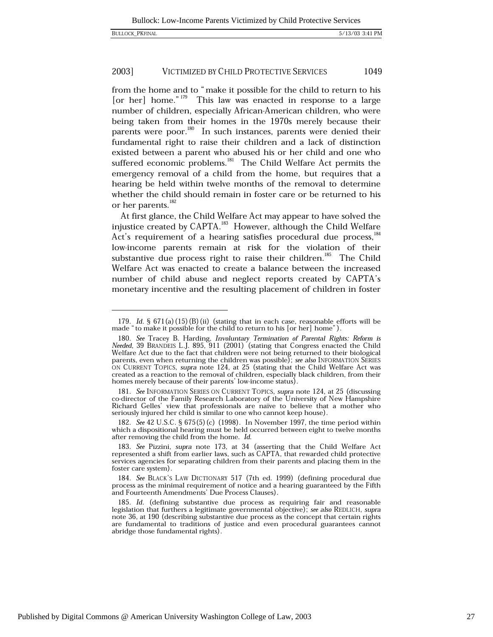from the home and to "make it possible for the child to return to his [or her] home." $179$ This law was enacted in response to a large number of children, especially African-American children, who were being taken from their homes in the 1970s merely because their parents were poor.<sup>180</sup> In such instances, parents were denied their fundamental right to raise their children and a lack of distinction existed between a parent who abused his or her child and one who suffered economic problems.<sup>181</sup> The Child Welfare Act permits the emergency removal of a child from the home, but requires that a hearing be held within twelve months of the removal to determine whether the child should remain in foster care or be returned to his or her parents.<sup>182</sup>

At first glance, the Child Welfare Act may appear to have solved the injustice created by CAPTA.<sup>183</sup> However, although the Child Welfare Act's requirement of a hearing satisfies procedural due process, 184 low-income parents remain at risk for the violation of their substantive due process right to raise their children.<sup>185</sup> The Child Welfare Act was enacted to create a balance between the increased number of child abuse and neglect reports created by CAPTA's monetary incentive and the resulting placement of children in foster

181. See INFORMATION SERIES ON CURRENT TOPICS, supra note 124, at 25 (discussing co-director of the Family Research Laboratory of the University of New Hampshire Richard Gelles' view that professionals are naïve to believe that a mother who seriously injured her child is similar to one who cannot keep house).

182. See 42 U.S.C. § 675(5)(c) (1998). In November 1997, the time period within which a dispositional hearing must be held occurred between eight to twelve months after removing the child from the home. Id.

<sup>179.</sup> Id. §  $671(a)(15)(B)(ii)$  (stating that in each case, reasonable efforts will be made "to make it possible for the child to return to his [or her] home").

<sup>180.</sup> See Tracey B. Harding, Involuntary Termination of Parental Rights: Reform is Needed, 39 BRANDEIS L.J. 895, 911 (2001) (stating that Congress enacted the Child Welfare Act due to the fact that children were not being returned to their biological parents, even when returning the children was possible); see also INFORMATION SERIES ON CURRENT TOPICS, supra note 124, at 25 (stating that the Child Welfare Act was created as a reaction to the removal of children, especially black children, from their homes merely because of their parents' low-income status).

<sup>183.</sup> See Pizzini, supra note 173, at 34 (asserting that the Child Welfare Act represented a shift from earlier laws, such as CAPTA, that rewarded child protective services agencies for separating children from their parents and placing them in the foster care system).

<sup>184.</sup> See BLACK'S LAW DICTIONARY 517 (7th ed. 1999) (defining procedural due process as the minimal requirement of notice and a hearing guaranteed by the Fifth<br>and Fourteenth Amendments' Due Process Clauses).

<sup>185.</sup> Id. (defining substantive due process as requiring fair and reasonable legislation that furthers a legitimate governmental objective); see also REDLICH, supra note 36, at 190 (describing substantive due process as the concept that certain rights are fundamental to traditions of justice and even procedural guarantees cannot abridge those fundamental rights).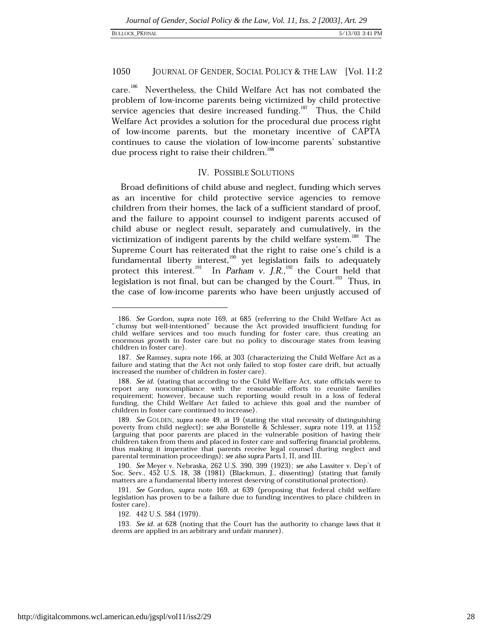### 1050 JOURNAL OF GENDER, SOCIAL POLICY & THE LAW [Vol. 11:2]

 $care.<sup>186</sup>$ Nevertheless, the Child Welfare Act has not combated the problem of low-income parents being victimized by child protective service agencies that desire increased funding.<sup>187</sup> Thus, the Child Welfare Act provides a solution for the procedural due process right of low-income parents, but the monetary incentive of CAPTA continues to cause the violation of low-income parents' substantive due process right to raise their children.<sup>188</sup>

# **IV. POSSIBLE SOLUTIONS**

Broad definitions of child abuse and neglect, funding which serves as an incentive for child protective service agencies to remove children from their homes, the lack of a sufficient standard of proof, and the failure to appoint counsel to indigent parents accused of child abuse or neglect result, separately and cumulatively, in the victimization of indigent parents by the child welfare system.<sup>189</sup> The Supreme Court has reiterated that the right to raise one's child is a fundamental liberty interest,<sup>190</sup> yet legislation fails to adequately protect this interest.<sup>191</sup> In Parham v. J.R.,<sup>192</sup> the Court held that legislation is not final, but can be changed by the Court.<sup>193</sup> Thus, in the case of low-income parents who have been unjustly accused of

192. 442 U.S. 584 (1979).

193. See id. at 628 (noting that the Court has the authority to change laws that it deems are applied in an arbitrary and unfair manner).

<sup>186.</sup> See Gordon, supra note 169, at 685 (referring to the Child Welfare Act as "clumsy but well-intentioned" because the Act provided insufficient funding for child welfare services and too much funding for foster care, thus creating an enormous growth in foster care but no policy to discourage states from leaving children in foster care).

<sup>187.</sup> See Ramsey, supra note 166, at 303 (characterizing the Child Welfare Act as a failure and stating that the Act not only failed to stop foster care drift, but actually increased the number of children in foster care).

<sup>188.</sup> See id. (stating that according to the Child Welfare Act, state officials were to report any noncompliance with the reasonable efforts to reunite families requirement; however, because such reporting would result in a loss of federal funding, the Child Welfare Act failed to achieve this goal and the number of children in foster care continued to increase).

<sup>189.</sup> See GOLDEN, supra note 49, at 19 (stating the vital necessity of distinguishing poverty from child neglect); see also Bonstelle & Schlesser, supra note 119, at 1152 (arguing that poor parents are placed in the vulnerable position of having their children taken from them and placed in foster care and suffering financial problems, thus making it imperative that parents receive legal counsel during neglect and parental termination proceedings); see also supra Parts I, II, and III.

<sup>190.</sup> See Meyer v. Nebraska, 262 U.S. 390, 399 (1923); see also Lassiter v. Dep't of Soc. Serv., 452 U.S. 18, 38 (1981) (Blackmun, J., dissenting) (stating that family matters are a fundamental liberty interest deserving of constitutional protection).

<sup>191.</sup> See Gordon, supra note 169, at 639 (proposing that federal child welfare legislation has proven to be a failure due to funding incentives to place children in foster care).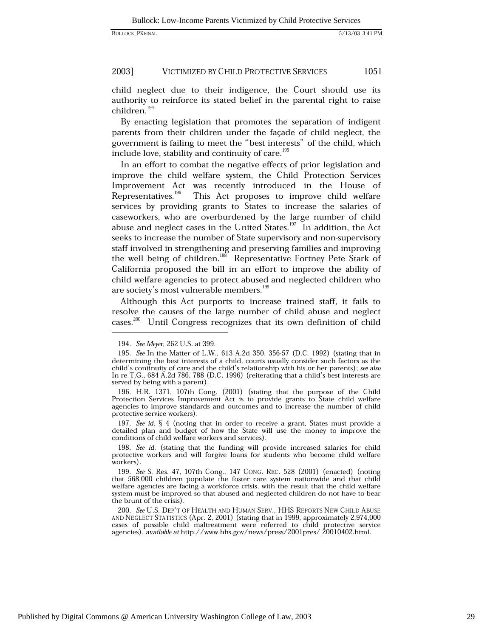child neglect due to their indigence, the Court should use its authority to reinforce its stated belief in the parental right to raise  $children.<sup>194</sup>$ 

By enacting legislation that promotes the separation of indigent parents from their children under the façade of child neglect, the government is failing to meet the "best interests" of the child, which include love, stability and continuity of care.<sup>195</sup>

In an effort to combat the negative effects of prior legislation and improve the child welfare system, the Child Protection Services Improvement Act was recently introduced in the House of Representatives.<sup>196</sup> This Act proposes to improve child welfare services by providing grants to States to increase the salaries of caseworkers, who are overburdened by the large number of child abuse and neglect cases in the United States.<sup>197</sup> In addition, the Act seeks to increase the number of State supervisory and non-supervisory staff involved in strengthening and preserving families and improving the well being of children.<sup>198</sup> Representative Fortney Pete Stark of California proposed the bill in an effort to improve the ability of child welfare agencies to protect abused and neglected children who are society's most vulnerable members.<sup>199</sup>

Although this Act purports to increase trained staff, it fails to resolve the causes of the large number of child abuse and neglect cases.<sup>200</sup> Until Congress recognizes that its own definition of child

197. See id. § 4 (noting that in order to receive a grant, States must provide a detailed plan and budget of how the State will use the money to improve the conditions of child welfare workers and services).

<sup>194.</sup> See Meyer, 262 U.S. at 399.

<sup>195.</sup> See In the Matter of L.W., 613 A.2d 350, 356-57 (D.C. 1992) (stating that in determining the best interests of a child, courts usually consider such factors as the child's continuity of care and the child's relationship with his or her parents); see also In re T.G., 684 A.2d 786, 788 (D.C. 1996) (reiterating that a child's best interests are served by being with a parent).

<sup>196.</sup> H.R. 1371, 107th Cong. (2001) (stating that the purpose of the Child Protection Services Improvement Act is to provide grants to State child welfare agencies to improve standards and outcomes and to increase the number of child protective service workers).

<sup>198.</sup> See id. (stating that the funding will provide increased salaries for child protective workers and will forgive loans for students who become child welfare workers).

<sup>199.</sup> See S. Res. 47, 107th Cong., 147 CONG. REC. 528 (2001) (enacted) (noting that 568,000 children populate the foster care system nationwide and that child welfare agencies are facing a workforce crisis, with the result that the child welfare system must be improved so that abused and neglected children do not have to bear the brunt of the crisis).

<sup>200.</sup> See U.S. DEP'T OF HEALTH AND HUMAN SERV., HHS REPORTS NEW CHILD ABUSE AND NEGLECT STATISTICS (Apr. 2, 2001) (stating that in 1999, approximately 2,974,000 cases of possible child maltreatment were referred to child protective service agencies), available at http://www.hhs.gov/news/press/2001pres/ 20010402.html.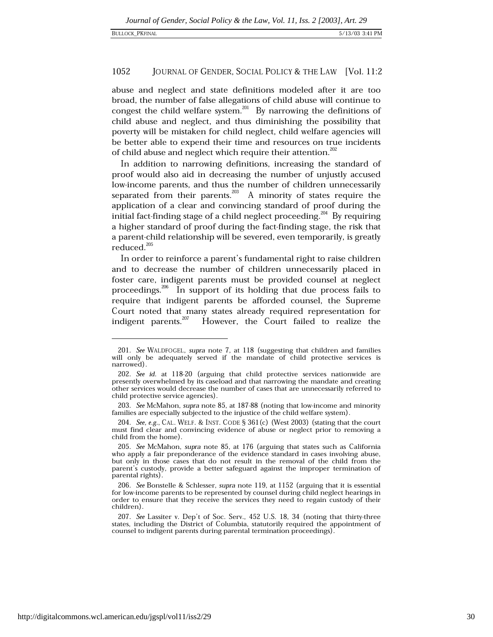### 1052 JOURNAL OF GENDER, SOCIAL POLICY & THE LAW [Vol. 11:2]

abuse and neglect and state definitions modeled after it are too broad, the number of false allegations of child abuse will continue to congest the child welfare system.<sup>201</sup> By narrowing the definitions of child abuse and neglect, and thus diminishing the possibility that poverty will be mistaken for child neglect, child welfare agencies will be better able to expend their time and resources on true incidents of child abuse and neglect which require their attention.<sup>202</sup>

In addition to narrowing definitions, increasing the standard of proof would also aid in decreasing the number of unjustly accused low-income parents, and thus the number of children unnecessarily separated from their parents.  $^{203}$  A minority of states require the application of a clear and convincing standard of proof during the initial fact-finding stage of a child neglect proceeding.<sup>204</sup> By requiring a higher standard of proof during the fact-finding stage, the risk that a parent-child relationship will be severed, even temporarily, is greatly reduced.<sup>205</sup>

In order to reinforce a parent's fundamental right to raise children and to decrease the number of children unnecessarily placed in foster care, indigent parents must be provided counsel at neglect proceedings.<sup>206</sup> In support of its holding that due process fails to require that indigent parents be afforded counsel, the Supreme Court noted that many states already required representation for indigent parents. $207$ However, the Court failed to realize the

<sup>201.</sup> See WALDFOGEL, supra note 7, at 118 (suggesting that children and families will only be adequately served if the mandate of child protective services is narrowed).

<sup>202.</sup> See id. at 118-20 (arguing that child protective services nationwide are presently overwhelmed by its caseload and that narrowing the mandate and creating other services would decrease the number of cases that are unnecessarily referred to child protective service agencies).

<sup>203.</sup> See McMahon, supra note 85, at 187-88 (noting that low-income and minority families are especially subjected to the injustice of the child welfare system).

<sup>204.</sup> See, e.g., CAL, WELF, & INST, CODE § 361(c) (West 2003) (stating that the court must find clear and convincing evidence of abuse or neglect prior to removing a child from the home).

<sup>205.</sup> See McMahon, supra note 85, at 176 (arguing that states such as California who apply a fair preponderance of the evidence standard in cases involving abuse, but only in those cases that do not result in the removal of the child from the parent's custody, provide a better safeguard against the improper termination of parental rights).

<sup>206.</sup> See Bonstelle & Schlesser, supra note 119, at 1152 (arguing that it is essential for low-income parents to be represented by counsel during child neglect hearings in order to ensure that they receive the services they need to regain custody of their children).

<sup>207.</sup> See Lassiter v. Dep't of Soc. Serv., 452 U.S. 18, 34 (noting that thirty-three states, including the District of Columbia, statutorily required the appointment of counsel to indigent parents during parental termination proceedings).